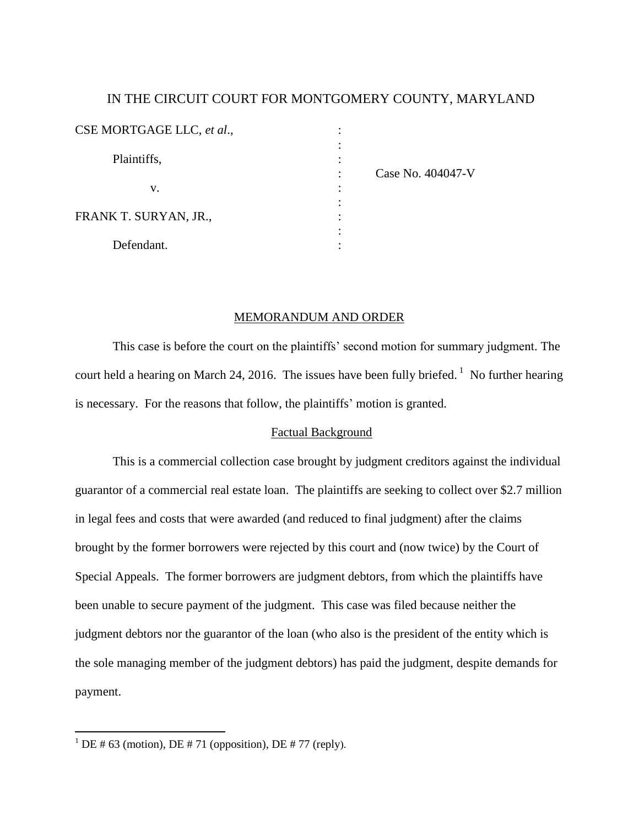# IN THE CIRCUIT COURT FOR MONTGOMERY COUNTY, MARYLAND

| CSE MORTGAGE LLC, et al.,                  | ٠ |                   |
|--------------------------------------------|---|-------------------|
| Plaintiffs,<br>v.<br>FRANK T. SURYAN, JR., |   |                   |
|                                            |   | Case No. 404047-V |
|                                            |   |                   |
|                                            |   |                   |
|                                            |   |                   |
| Defendant.                                 |   |                   |

## MEMORANDUM AND ORDER

This case is before the court on the plaintiffs' second motion for summary judgment. The court held a hearing on March 24, 2016. The issues have been fully briefed.<sup>1</sup> No further hearing is necessary. For the reasons that follow, the plaintiffs' motion is granted.

## Factual Background

This is a commercial collection case brought by judgment creditors against the individual guarantor of a commercial real estate loan. The plaintiffs are seeking to collect over \$2.7 million in legal fees and costs that were awarded (and reduced to final judgment) after the claims brought by the former borrowers were rejected by this court and (now twice) by the Court of Special Appeals. The former borrowers are judgment debtors, from which the plaintiffs have been unable to secure payment of the judgment. This case was filed because neither the judgment debtors nor the guarantor of the loan (who also is the president of the entity which is the sole managing member of the judgment debtors) has paid the judgment, despite demands for payment.

<sup>&</sup>lt;sup>1</sup> DE # 63 (motion), DE # 71 (opposition), DE # 77 (reply).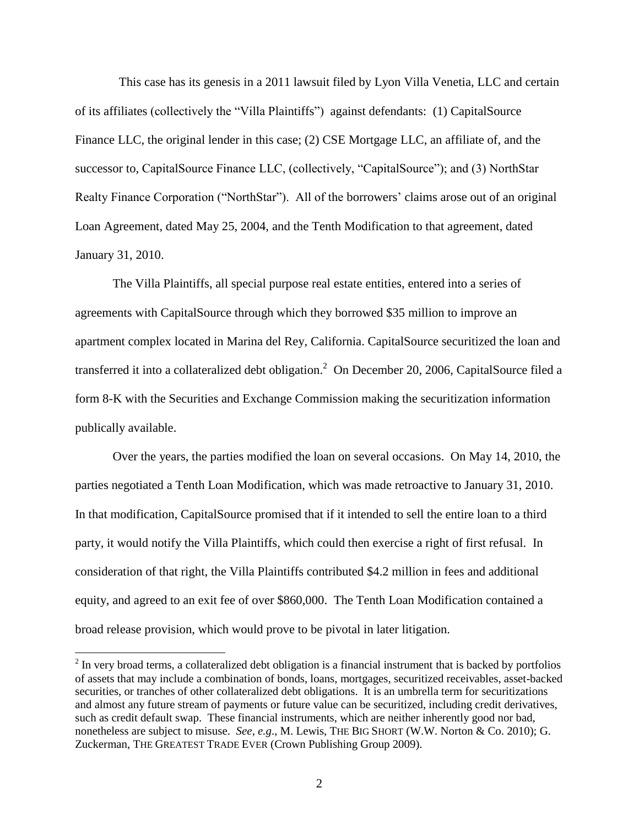This case has its genesis in a 2011 lawsuit filed by Lyon Villa Venetia, LLC and certain of its affiliates (collectively the "Villa Plaintiffs") against defendants: (1) CapitalSource Finance LLC, the original lender in this case; (2) CSE Mortgage LLC, an affiliate of, and the successor to, CapitalSource Finance LLC, (collectively, "CapitalSource"); and (3) NorthStar Realty Finance Corporation ("NorthStar"). All of the borrowers' claims arose out of an original Loan Agreement, dated May 25, 2004, and the Tenth Modification to that agreement, dated January 31, 2010.

The Villa Plaintiffs, all special purpose real estate entities, entered into a series of agreements with CapitalSource through which they borrowed \$35 million to improve an apartment complex located in Marina del Rey, California. CapitalSource securitized the loan and transferred it into a collateralized debt obligation.<sup>2</sup> On December 20, 2006, CapitalSource filed a form 8-K with the Securities and Exchange Commission making the securitization information publically available.

Over the years, the parties modified the loan on several occasions. On May 14, 2010, the parties negotiated a Tenth Loan Modification, which was made retroactive to January 31, 2010. In that modification, CapitalSource promised that if it intended to sell the entire loan to a third party, it would notify the Villa Plaintiffs, which could then exercise a right of first refusal. In consideration of that right, the Villa Plaintiffs contributed \$4.2 million in fees and additional equity, and agreed to an exit fee of over \$860,000. The Tenth Loan Modification contained a broad release provision, which would prove to be pivotal in later litigation.

 $2^{2}$  In very broad terms, a collateralized debt obligation is a financial instrument that is backed by portfolios of assets that may include a combination of bonds, loans, mortgages, securitized receivables, asset-backed securities, or tranches of other collateralized debt obligations. It is an umbrella term for securitizations and almost any future stream of payments or future value can be securitized, including credit derivatives, such as credit default swap. These financial instruments, which are neither inherently good nor bad, nonetheless are subject to misuse. *See, e.g*., M. Lewis, THE BIG SHORT (W.W. Norton & Co. 2010); G. Zuckerman, THE GREATEST TRADE EVER (Crown Publishing Group 2009).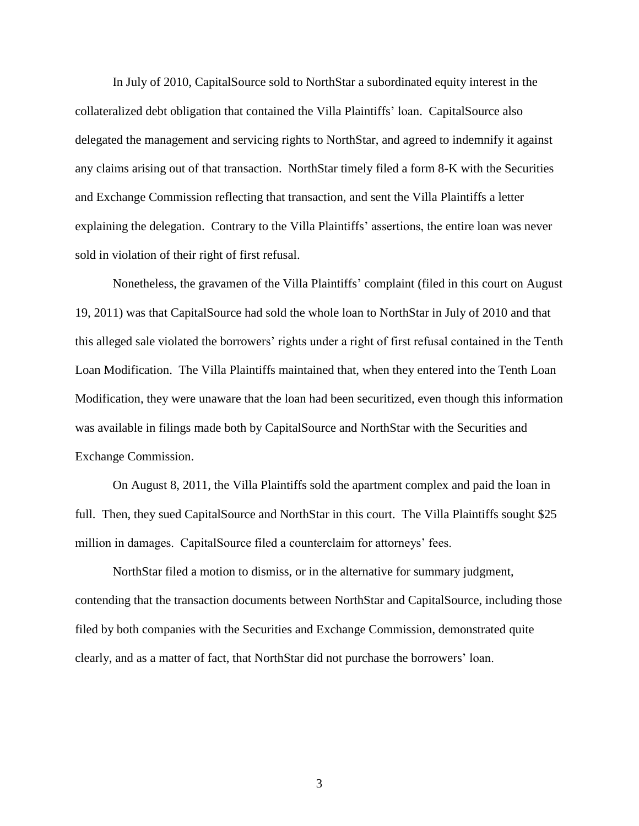In July of 2010, CapitalSource sold to NorthStar a subordinated equity interest in the collateralized debt obligation that contained the Villa Plaintiffs' loan. CapitalSource also delegated the management and servicing rights to NorthStar, and agreed to indemnify it against any claims arising out of that transaction. NorthStar timely filed a form 8-K with the Securities and Exchange Commission reflecting that transaction, and sent the Villa Plaintiffs a letter explaining the delegation. Contrary to the Villa Plaintiffs' assertions, the entire loan was never sold in violation of their right of first refusal.

Nonetheless, the gravamen of the Villa Plaintiffs' complaint (filed in this court on August 19, 2011) was that CapitalSource had sold the whole loan to NorthStar in July of 2010 and that this alleged sale violated the borrowers' rights under a right of first refusal contained in the Tenth Loan Modification. The Villa Plaintiffs maintained that, when they entered into the Tenth Loan Modification, they were unaware that the loan had been securitized, even though this information was available in filings made both by CapitalSource and NorthStar with the Securities and Exchange Commission.

On August 8, 2011, the Villa Plaintiffs sold the apartment complex and paid the loan in full. Then, they sued CapitalSource and NorthStar in this court. The Villa Plaintiffs sought \$25 million in damages. CapitalSource filed a counterclaim for attorneys' fees.

NorthStar filed a motion to dismiss, or in the alternative for summary judgment, contending that the transaction documents between NorthStar and CapitalSource, including those filed by both companies with the Securities and Exchange Commission, demonstrated quite clearly, and as a matter of fact, that NorthStar did not purchase the borrowers' loan.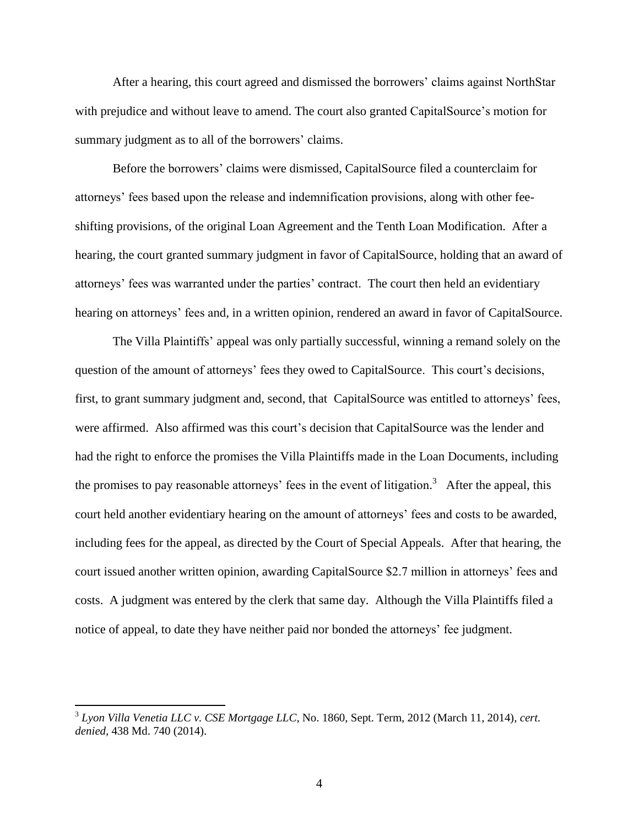After a hearing, this court agreed and dismissed the borrowers' claims against NorthStar with prejudice and without leave to amend. The court also granted CapitalSource's motion for summary judgment as to all of the borrowers' claims.

Before the borrowers' claims were dismissed, CapitalSource filed a counterclaim for attorneys' fees based upon the release and indemnification provisions, along with other feeshifting provisions, of the original Loan Agreement and the Tenth Loan Modification. After a hearing, the court granted summary judgment in favor of CapitalSource, holding that an award of attorneys' fees was warranted under the parties' contract. The court then held an evidentiary hearing on attorneys' fees and, in a written opinion, rendered an award in favor of CapitalSource.

The Villa Plaintiffs' appeal was only partially successful, winning a remand solely on the question of the amount of attorneys' fees they owed to CapitalSource. This court's decisions, first, to grant summary judgment and, second, that CapitalSource was entitled to attorneys' fees, were affirmed. Also affirmed was this court's decision that CapitalSource was the lender and had the right to enforce the promises the Villa Plaintiffs made in the Loan Documents, including the promises to pay reasonable attorneys' fees in the event of litigation.<sup>3</sup> After the appeal, this court held another evidentiary hearing on the amount of attorneys' fees and costs to be awarded, including fees for the appeal, as directed by the Court of Special Appeals. After that hearing, the court issued another written opinion, awarding CapitalSource \$2.7 million in attorneys' fees and costs. A judgment was entered by the clerk that same day. Although the Villa Plaintiffs filed a notice of appeal, to date they have neither paid nor bonded the attorneys' fee judgment.

<sup>3</sup> *Lyon Villa Venetia LLC v. CSE Mortgage LLC*, No. 1860, Sept. Term, 2012 (March 11, 2014), *cert. denied,* 438 Md. 740 (2014).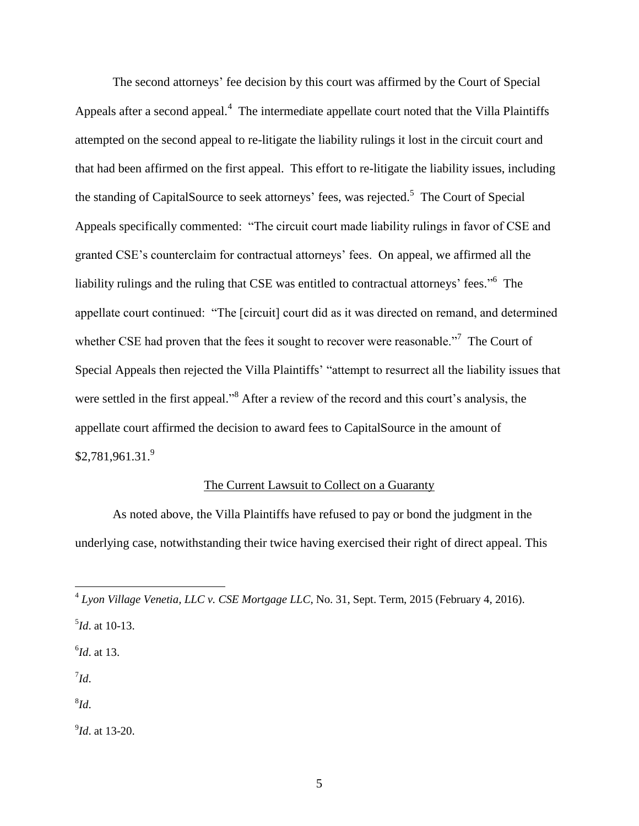The second attorneys' fee decision by this court was affirmed by the Court of Special Appeals after a second appeal.<sup>4</sup> The intermediate appellate court noted that the Villa Plaintiffs attempted on the second appeal to re-litigate the liability rulings it lost in the circuit court and that had been affirmed on the first appeal. This effort to re-litigate the liability issues, including the standing of CapitalSource to seek attorneys' fees, was rejected.<sup>5</sup> The Court of Special Appeals specifically commented: "The circuit court made liability rulings in favor of CSE and granted CSE's counterclaim for contractual attorneys' fees. On appeal, we affirmed all the liability rulings and the ruling that CSE was entitled to contractual attorneys' fees."<sup>6</sup> The appellate court continued: "The [circuit] court did as it was directed on remand, and determined whether CSE had proven that the fees it sought to recover were reasonable."<sup>7</sup> The Court of Special Appeals then rejected the Villa Plaintiffs' "attempt to resurrect all the liability issues that were settled in the first appeal."<sup>8</sup> After a review of the record and this court's analysis, the appellate court affirmed the decision to award fees to CapitalSource in the amount of  $$2,781,961.31.<sup>9</sup>$ 

## The Current Lawsuit to Collect on a Guaranty

As noted above, the Villa Plaintiffs have refused to pay or bond the judgment in the underlying case, notwithstanding their twice having exercised their right of direct appeal. This

6 *Id*. at 13.

7 *Id*.

8 *Id*.

9 *Id*. at 13-20.

 4 *Lyon Village Venetia, LLC v. CSE Mortgage LLC*, No. 31, Sept. Term, 2015 (February 4, 2016).

<sup>5</sup> *Id*. at 10-13.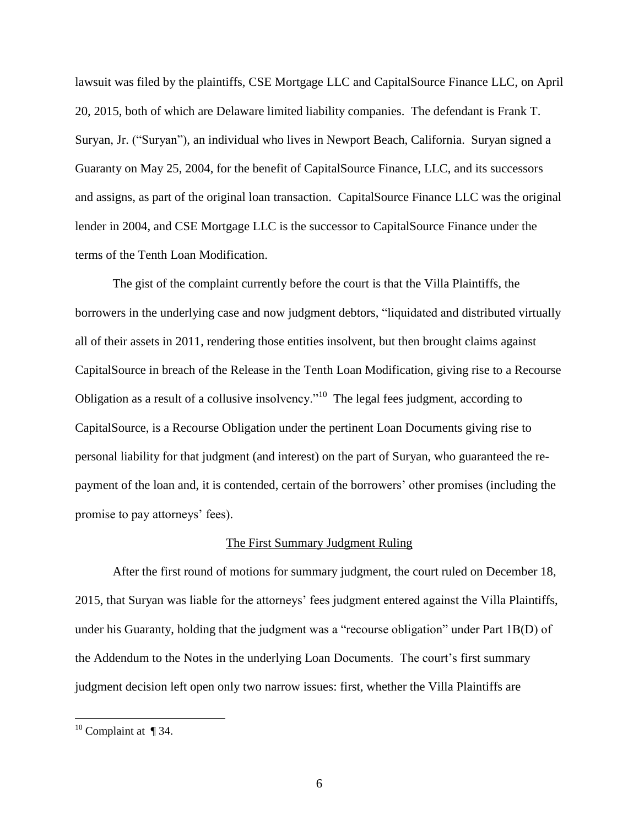lawsuit was filed by the plaintiffs, CSE Mortgage LLC and CapitalSource Finance LLC, on April 20, 2015, both of which are Delaware limited liability companies. The defendant is Frank T. Suryan, Jr. ("Suryan"), an individual who lives in Newport Beach, California. Suryan signed a Guaranty on May 25, 2004, for the benefit of CapitalSource Finance, LLC, and its successors and assigns, as part of the original loan transaction. CapitalSource Finance LLC was the original lender in 2004, and CSE Mortgage LLC is the successor to CapitalSource Finance under the terms of the Tenth Loan Modification.

The gist of the complaint currently before the court is that the Villa Plaintiffs, the borrowers in the underlying case and now judgment debtors, "liquidated and distributed virtually all of their assets in 2011, rendering those entities insolvent, but then brought claims against CapitalSource in breach of the Release in the Tenth Loan Modification, giving rise to a Recourse Obligation as a result of a collusive insolvency."<sup>10</sup> The legal fees judgment, according to CapitalSource, is a Recourse Obligation under the pertinent Loan Documents giving rise to personal liability for that judgment (and interest) on the part of Suryan, who guaranteed the repayment of the loan and, it is contended, certain of the borrowers' other promises (including the promise to pay attorneys' fees).

### The First Summary Judgment Ruling

After the first round of motions for summary judgment, the court ruled on December 18, 2015, that Suryan was liable for the attorneys' fees judgment entered against the Villa Plaintiffs, under his Guaranty, holding that the judgment was a "recourse obligation" under Part 1B(D) of the Addendum to the Notes in the underlying Loan Documents. The court's first summary judgment decision left open only two narrow issues: first, whether the Villa Plaintiffs are

<sup>&</sup>lt;sup>10</sup> Complaint at  $\P$  34.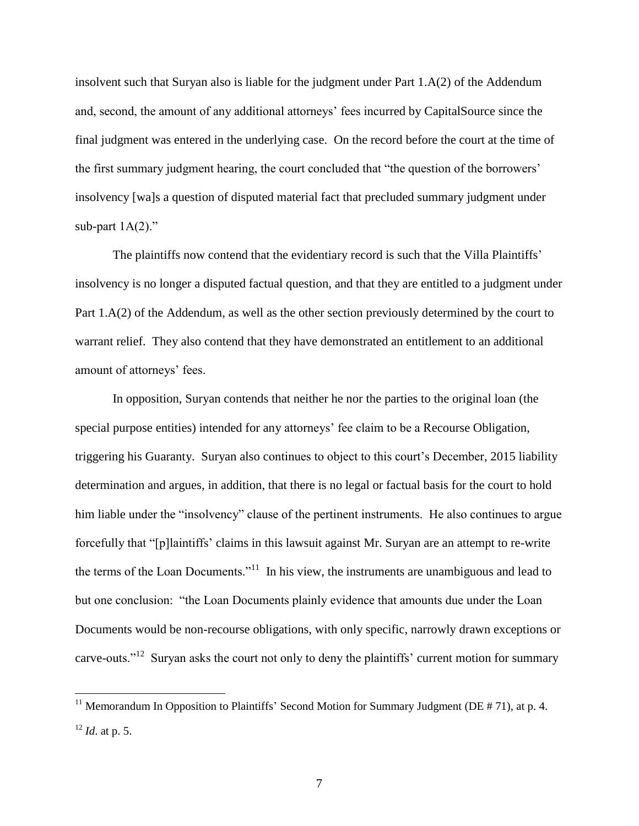insolvent such that Suryan also is liable for the judgment under Part 1.A(2) of the Addendum and, second, the amount of any additional attorneys' fees incurred by CapitalSource since the final judgment was entered in the underlying case. On the record before the court at the time of the first summary judgment hearing, the court concluded that "the question of the borrowers' insolvency [wa]s a question of disputed material fact that precluded summary judgment under sub-part  $1A(2)$ ."

The plaintiffs now contend that the evidentiary record is such that the Villa Plaintiffs' insolvency is no longer a disputed factual question, and that they are entitled to a judgment under Part 1.A(2) of the Addendum, as well as the other section previously determined by the court to warrant relief. They also contend that they have demonstrated an entitlement to an additional amount of attorneys' fees.

In opposition, Suryan contends that neither he nor the parties to the original loan (the special purpose entities) intended for any attorneys' fee claim to be a Recourse Obligation, triggering his Guaranty. Suryan also continues to object to this court's December, 2015 liability determination and argues, in addition, that there is no legal or factual basis for the court to hold him liable under the "insolvency" clause of the pertinent instruments. He also continues to argue forcefully that "[p]laintiffs' claims in this lawsuit against Mr. Suryan are an attempt to re-write the terms of the Loan Documents."<sup>11</sup> In his view, the instruments are unambiguous and lead to but one conclusion: "the Loan Documents plainly evidence that amounts due under the Loan Documents would be non-recourse obligations, with only specific, narrowly drawn exceptions or carve-outs."<sup>12</sup> Suryan asks the court not only to deny the plaintiffs' current motion for summary

<sup>&</sup>lt;sup>11</sup> Memorandum In Opposition to Plaintiffs' Second Motion for Summary Judgment (DE  $# 71$ ), at p. 4. <sup>12</sup> *Id*. at p. 5.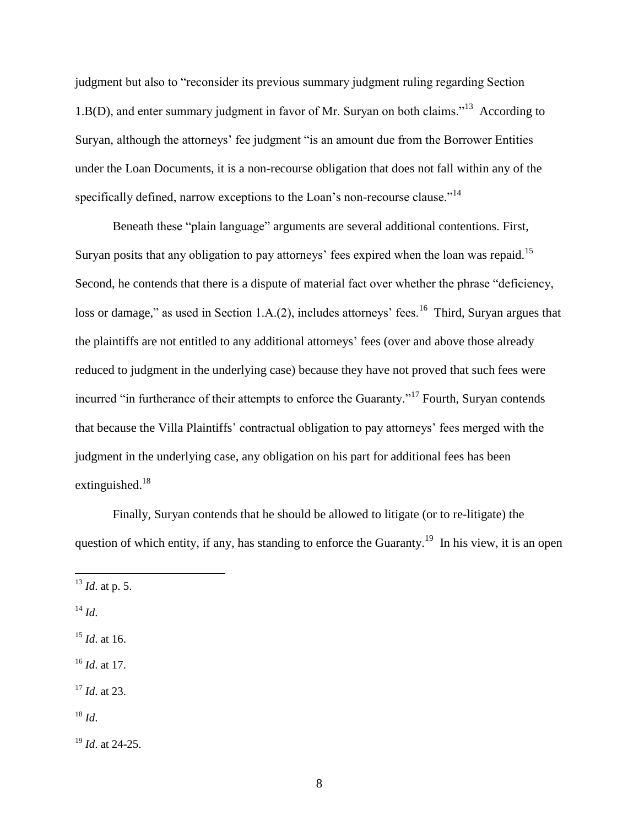judgment but also to "reconsider its previous summary judgment ruling regarding Section 1.B(D), and enter summary judgment in favor of Mr. Suryan on both claims."<sup>13</sup> According to Suryan, although the attorneys' fee judgment "is an amount due from the Borrower Entities under the Loan Documents, it is a non-recourse obligation that does not fall within any of the specifically defined, narrow exceptions to the Loan's non-recourse clause."<sup>14</sup>

Beneath these "plain language" arguments are several additional contentions. First, Suryan posits that any obligation to pay attorneys' fees expired when the loan was repaid.<sup>15</sup> Second, he contends that there is a dispute of material fact over whether the phrase "deficiency, loss or damage," as used in Section 1.A.(2), includes attorneys' fees.<sup>16</sup> Third, Suryan argues that the plaintiffs are not entitled to any additional attorneys' fees (over and above those already reduced to judgment in the underlying case) because they have not proved that such fees were incurred "in furtherance of their attempts to enforce the Guaranty."<sup>17</sup> Fourth, Suryan contends that because the Villa Plaintiffs' contractual obligation to pay attorneys' fees merged with the judgment in the underlying case, any obligation on his part for additional fees has been extinguished.<sup>18</sup>

Finally, Suryan contends that he should be allowed to litigate (or to re-litigate) the question of which entity, if any, has standing to enforce the Guaranty.<sup>19</sup> In his view, it is an open

<sup>14</sup> *Id*.

 $\overline{a}$ 

<sup>15</sup> *Id*. at 16.

<sup>16</sup> *Id*. at 17.

<sup>17</sup> *Id*. at 23.

 $^{18}$  *Id.* 

<sup>19</sup> *Id*. at 24-25.

<sup>13</sup> *Id*. at p. 5.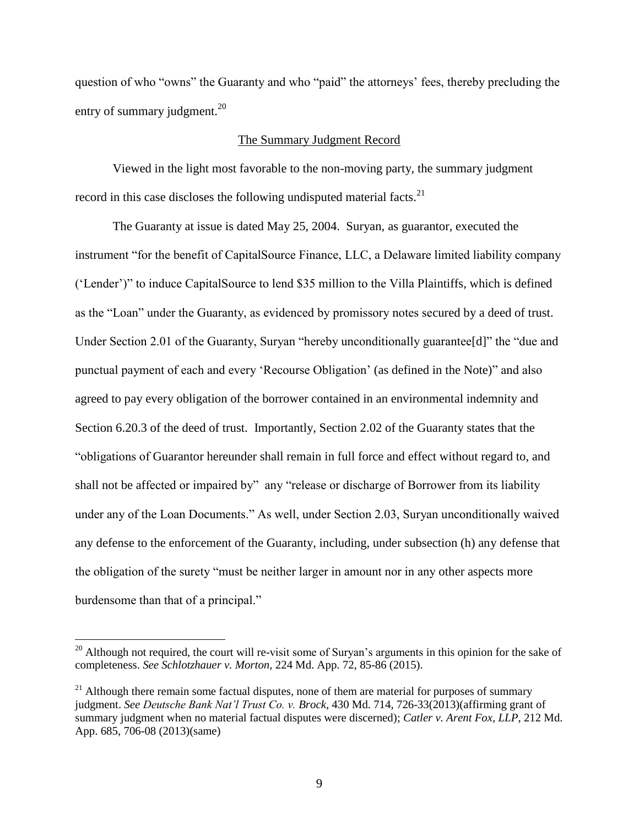question of who "owns" the Guaranty and who "paid" the attorneys' fees, thereby precluding the entry of summary judgment. $^{20}$ 

## The Summary Judgment Record

Viewed in the light most favorable to the non-moving party, the summary judgment record in this case discloses the following undisputed material facts.<sup>21</sup>

The Guaranty at issue is dated May 25, 2004. Suryan, as guarantor, executed the instrument "for the benefit of CapitalSource Finance, LLC, a Delaware limited liability company ('Lender')" to induce CapitalSource to lend \$35 million to the Villa Plaintiffs, which is defined as the "Loan" under the Guaranty, as evidenced by promissory notes secured by a deed of trust. Under Section 2.01 of the Guaranty, Suryan "hereby unconditionally guarantee[d]" the "due and punctual payment of each and every 'Recourse Obligation' (as defined in the Note)" and also agreed to pay every obligation of the borrower contained in an environmental indemnity and Section 6.20.3 of the deed of trust. Importantly, Section 2.02 of the Guaranty states that the "obligations of Guarantor hereunder shall remain in full force and effect without regard to, and shall not be affected or impaired by" any "release or discharge of Borrower from its liability under any of the Loan Documents." As well, under Section 2.03, Suryan unconditionally waived any defense to the enforcement of the Guaranty, including, under subsection (h) any defense that the obligation of the surety "must be neither larger in amount nor in any other aspects more burdensome than that of a principal."

 $20$  Although not required, the court will re-visit some of Suryan's arguments in this opinion for the sake of completeness. *See Schlotzhauer v. Morton*, 224 Md. App. 72, 85-86 (2015).

 $21$  Although there remain some factual disputes, none of them are material for purposes of summary judgment. *See Deutsche Bank Nat'l Trust Co. v. Brock*, 430 Md. 714, 726-33(2013)(affirming grant of summary judgment when no material factual disputes were discerned); *Catler v. Arent Fox, LLP*, 212 Md. App. 685, 706-08 (2013)(same)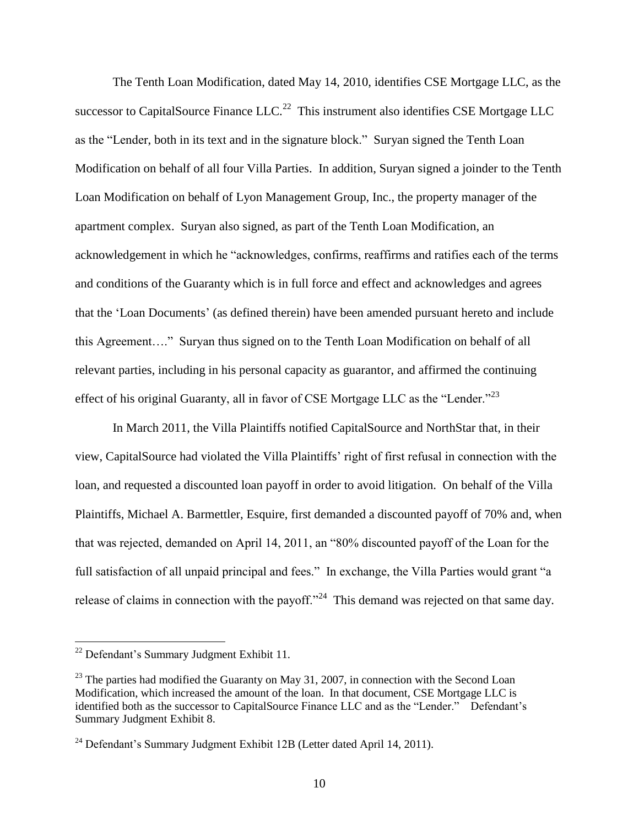The Tenth Loan Modification, dated May 14, 2010, identifies CSE Mortgage LLC, as the successor to CapitalSource Finance  $LLC$ <sup>22</sup> This instrument also identifies CSE Mortgage LLC as the "Lender, both in its text and in the signature block." Suryan signed the Tenth Loan Modification on behalf of all four Villa Parties. In addition, Suryan signed a joinder to the Tenth Loan Modification on behalf of Lyon Management Group, Inc., the property manager of the apartment complex. Suryan also signed, as part of the Tenth Loan Modification, an acknowledgement in which he "acknowledges, confirms, reaffirms and ratifies each of the terms and conditions of the Guaranty which is in full force and effect and acknowledges and agrees that the 'Loan Documents' (as defined therein) have been amended pursuant hereto and include this Agreement…." Suryan thus signed on to the Tenth Loan Modification on behalf of all relevant parties, including in his personal capacity as guarantor, and affirmed the continuing effect of his original Guaranty, all in favor of CSE Mortgage LLC as the "Lender."<sup>23</sup>

In March 2011, the Villa Plaintiffs notified CapitalSource and NorthStar that, in their view, CapitalSource had violated the Villa Plaintiffs' right of first refusal in connection with the loan, and requested a discounted loan payoff in order to avoid litigation. On behalf of the Villa Plaintiffs, Michael A. Barmettler, Esquire, first demanded a discounted payoff of 70% and, when that was rejected, demanded on April 14, 2011, an "80% discounted payoff of the Loan for the full satisfaction of all unpaid principal and fees." In exchange, the Villa Parties would grant "a release of claims in connection with the payoff."<sup>24</sup> This demand was rejected on that same day.

<sup>22</sup> Defendant's Summary Judgment Exhibit 11.

 $^{23}$  The parties had modified the Guaranty on May 31, 2007, in connection with the Second Loan Modification, which increased the amount of the loan. In that document, CSE Mortgage LLC is identified both as the successor to CapitalSource Finance LLC and as the "Lender." Defendant's Summary Judgment Exhibit 8.

<sup>&</sup>lt;sup>24</sup> Defendant's Summary Judgment Exhibit 12B (Letter dated April 14, 2011).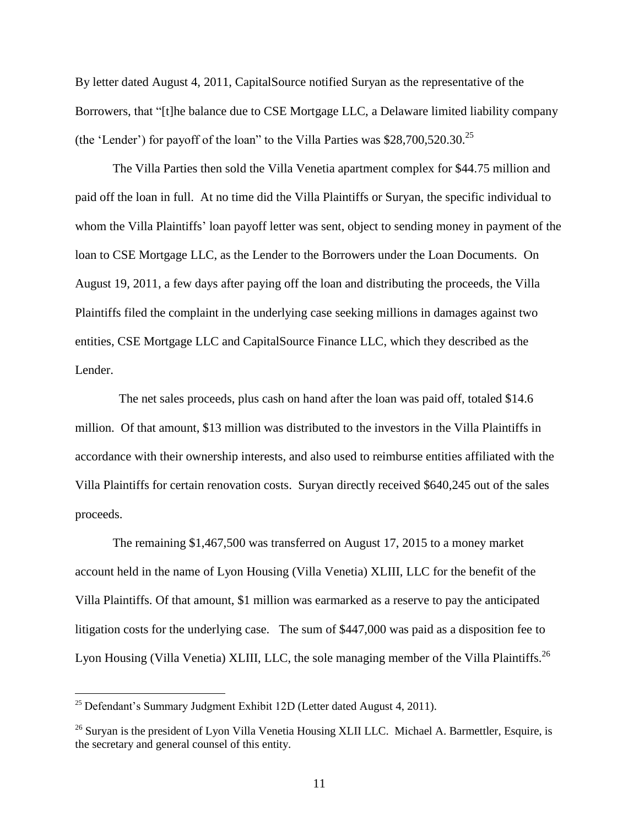By letter dated August 4, 2011, CapitalSource notified Suryan as the representative of the Borrowers, that "[t]he balance due to CSE Mortgage LLC, a Delaware limited liability company (the 'Lender') for payoff of the loan" to the Villa Parties was  $$28,700,520.30$ .<sup>25</sup>

The Villa Parties then sold the Villa Venetia apartment complex for \$44.75 million and paid off the loan in full. At no time did the Villa Plaintiffs or Suryan, the specific individual to whom the Villa Plaintiffs' loan payoff letter was sent, object to sending money in payment of the loan to CSE Mortgage LLC, as the Lender to the Borrowers under the Loan Documents. On August 19, 2011, a few days after paying off the loan and distributing the proceeds, the Villa Plaintiffs filed the complaint in the underlying case seeking millions in damages against two entities, CSE Mortgage LLC and CapitalSource Finance LLC, which they described as the Lender.

 The net sales proceeds, plus cash on hand after the loan was paid off, totaled \$14.6 million. Of that amount, \$13 million was distributed to the investors in the Villa Plaintiffs in accordance with their ownership interests, and also used to reimburse entities affiliated with the Villa Plaintiffs for certain renovation costs. Suryan directly received \$640,245 out of the sales proceeds.

The remaining \$1,467,500 was transferred on August 17, 2015 to a money market account held in the name of Lyon Housing (Villa Venetia) XLIII, LLC for the benefit of the Villa Plaintiffs. Of that amount, \$1 million was earmarked as a reserve to pay the anticipated litigation costs for the underlying case. The sum of \$447,000 was paid as a disposition fee to Lyon Housing (Villa Venetia) XLIII, LLC, the sole managing member of the Villa Plaintiffs.<sup>26</sup>

 $25$  Defendant's Summary Judgment Exhibit 12D (Letter dated August 4, 2011).

<sup>&</sup>lt;sup>26</sup> Suryan is the president of Lyon Villa Venetia Housing XLII LLC. Michael A. Barmettler, Esquire, is the secretary and general counsel of this entity.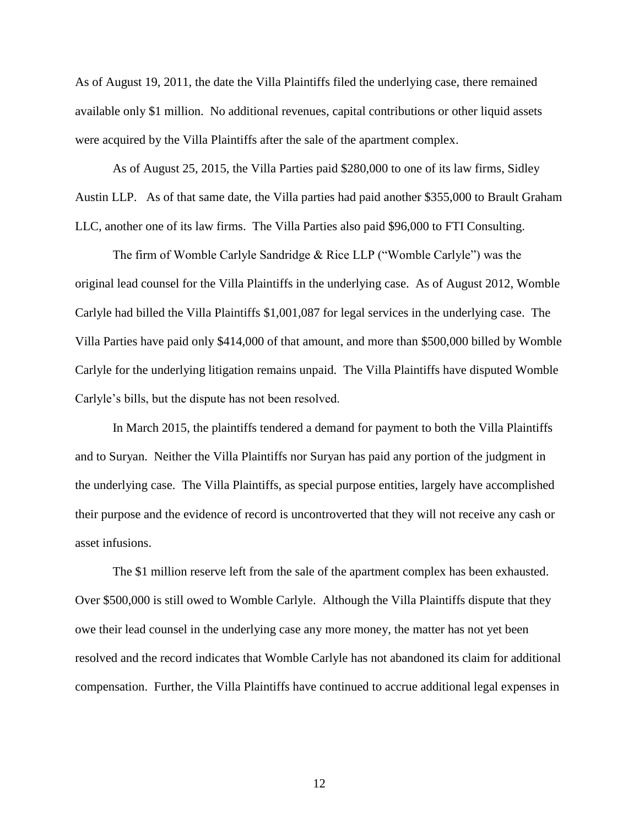As of August 19, 2011, the date the Villa Plaintiffs filed the underlying case, there remained available only \$1 million. No additional revenues, capital contributions or other liquid assets were acquired by the Villa Plaintiffs after the sale of the apartment complex.

As of August 25, 2015, the Villa Parties paid \$280,000 to one of its law firms, Sidley Austin LLP. As of that same date, the Villa parties had paid another \$355,000 to Brault Graham LLC, another one of its law firms. The Villa Parties also paid \$96,000 to FTI Consulting.

The firm of Womble Carlyle Sandridge & Rice LLP ("Womble Carlyle") was the original lead counsel for the Villa Plaintiffs in the underlying case. As of August 2012, Womble Carlyle had billed the Villa Plaintiffs \$1,001,087 for legal services in the underlying case. The Villa Parties have paid only \$414,000 of that amount, and more than \$500,000 billed by Womble Carlyle for the underlying litigation remains unpaid. The Villa Plaintiffs have disputed Womble Carlyle's bills, but the dispute has not been resolved.

In March 2015, the plaintiffs tendered a demand for payment to both the Villa Plaintiffs and to Suryan. Neither the Villa Plaintiffs nor Suryan has paid any portion of the judgment in the underlying case. The Villa Plaintiffs, as special purpose entities, largely have accomplished their purpose and the evidence of record is uncontroverted that they will not receive any cash or asset infusions.

The \$1 million reserve left from the sale of the apartment complex has been exhausted. Over \$500,000 is still owed to Womble Carlyle. Although the Villa Plaintiffs dispute that they owe their lead counsel in the underlying case any more money, the matter has not yet been resolved and the record indicates that Womble Carlyle has not abandoned its claim for additional compensation. Further, the Villa Plaintiffs have continued to accrue additional legal expenses in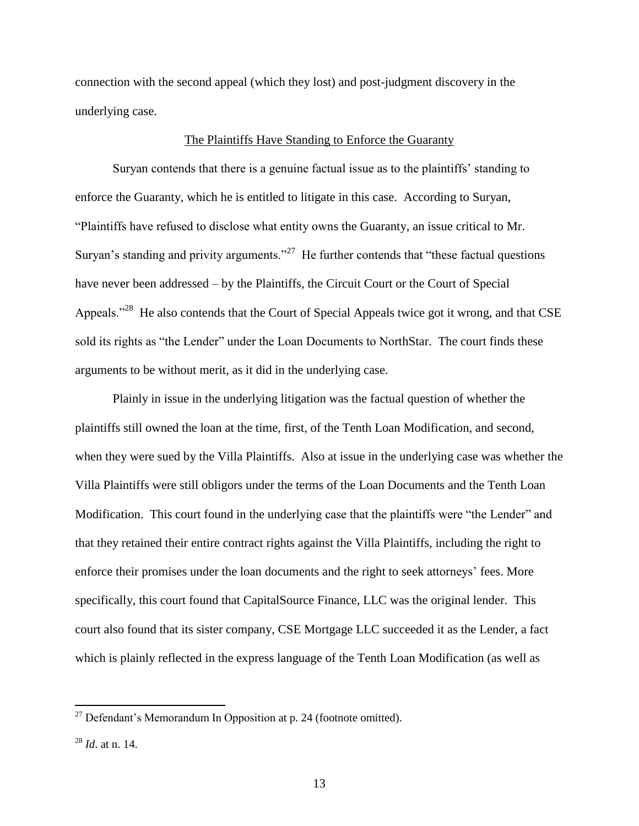connection with the second appeal (which they lost) and post-judgment discovery in the underlying case.

### The Plaintiffs Have Standing to Enforce the Guaranty

Suryan contends that there is a genuine factual issue as to the plaintiffs' standing to enforce the Guaranty, which he is entitled to litigate in this case. According to Suryan, "Plaintiffs have refused to disclose what entity owns the Guaranty, an issue critical to Mr. Suryan's standing and privity arguments."<sup>27</sup> He further contends that "these factual questions" have never been addressed – by the Plaintiffs, the Circuit Court or the Court of Special Appeals."<sup>28</sup> He also contends that the Court of Special Appeals twice got it wrong, and that CSE sold its rights as "the Lender" under the Loan Documents to NorthStar. The court finds these arguments to be without merit, as it did in the underlying case.

Plainly in issue in the underlying litigation was the factual question of whether the plaintiffs still owned the loan at the time, first, of the Tenth Loan Modification, and second, when they were sued by the Villa Plaintiffs. Also at issue in the underlying case was whether the Villa Plaintiffs were still obligors under the terms of the Loan Documents and the Tenth Loan Modification. This court found in the underlying case that the plaintiffs were "the Lender" and that they retained their entire contract rights against the Villa Plaintiffs, including the right to enforce their promises under the loan documents and the right to seek attorneys' fees. More specifically, this court found that CapitalSource Finance, LLC was the original lender. This court also found that its sister company, CSE Mortgage LLC succeeded it as the Lender, a fact which is plainly reflected in the express language of the Tenth Loan Modification (as well as

 $27$  Defendant's Memorandum In Opposition at p. 24 (footnote omitted).

<sup>28</sup> *Id*. at n. 14.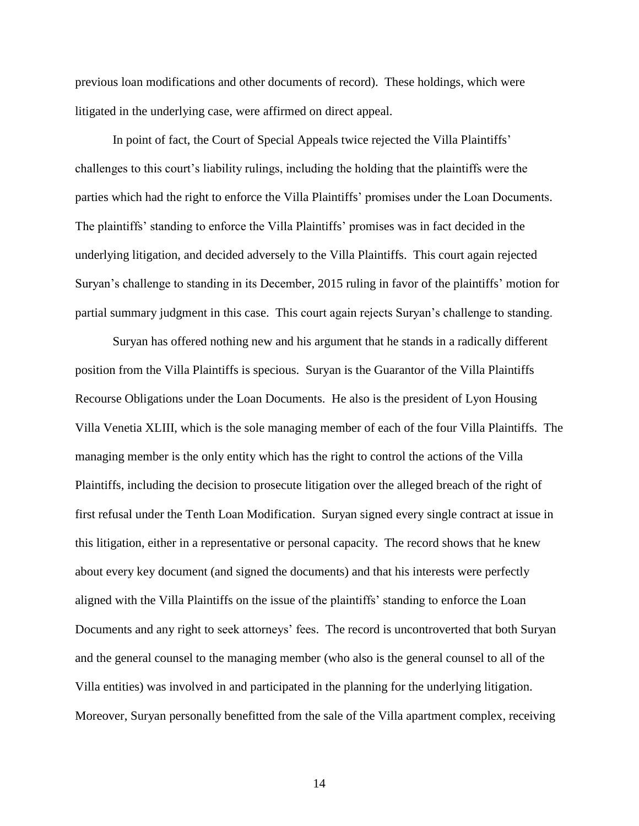previous loan modifications and other documents of record). These holdings, which were litigated in the underlying case, were affirmed on direct appeal.

In point of fact, the Court of Special Appeals twice rejected the Villa Plaintiffs' challenges to this court's liability rulings, including the holding that the plaintiffs were the parties which had the right to enforce the Villa Plaintiffs' promises under the Loan Documents. The plaintiffs' standing to enforce the Villa Plaintiffs' promises was in fact decided in the underlying litigation, and decided adversely to the Villa Plaintiffs. This court again rejected Suryan's challenge to standing in its December, 2015 ruling in favor of the plaintiffs' motion for partial summary judgment in this case. This court again rejects Suryan's challenge to standing.

Suryan has offered nothing new and his argument that he stands in a radically different position from the Villa Plaintiffs is specious. Suryan is the Guarantor of the Villa Plaintiffs Recourse Obligations under the Loan Documents. He also is the president of Lyon Housing Villa Venetia XLIII, which is the sole managing member of each of the four Villa Plaintiffs. The managing member is the only entity which has the right to control the actions of the Villa Plaintiffs, including the decision to prosecute litigation over the alleged breach of the right of first refusal under the Tenth Loan Modification. Suryan signed every single contract at issue in this litigation, either in a representative or personal capacity. The record shows that he knew about every key document (and signed the documents) and that his interests were perfectly aligned with the Villa Plaintiffs on the issue of the plaintiffs' standing to enforce the Loan Documents and any right to seek attorneys' fees. The record is uncontroverted that both Suryan and the general counsel to the managing member (who also is the general counsel to all of the Villa entities) was involved in and participated in the planning for the underlying litigation. Moreover, Suryan personally benefitted from the sale of the Villa apartment complex, receiving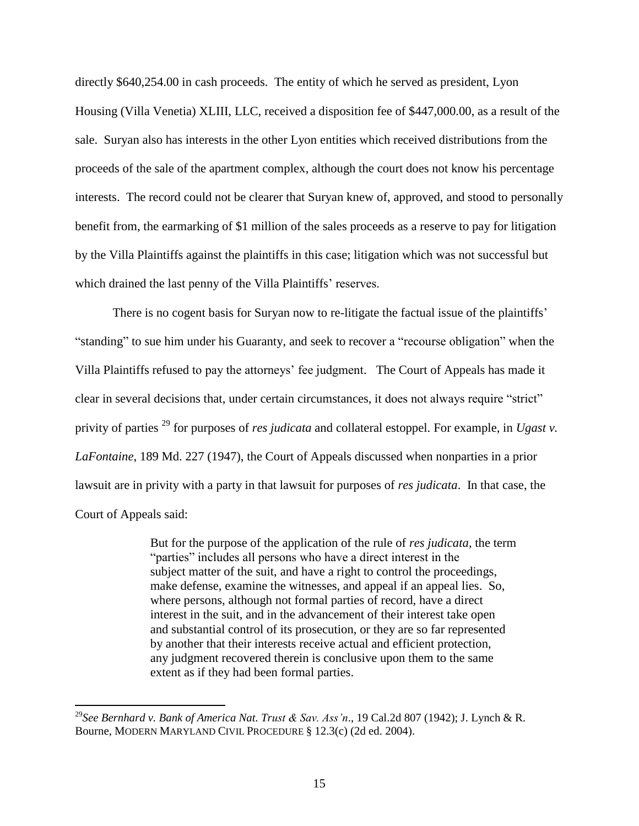directly \$640,254.00 in cash proceeds. The entity of which he served as president, Lyon Housing (Villa Venetia) XLIII, LLC, received a disposition fee of \$447,000.00, as a result of the sale. Suryan also has interests in the other Lyon entities which received distributions from the proceeds of the sale of the apartment complex, although the court does not know his percentage interests. The record could not be clearer that Suryan knew of, approved, and stood to personally benefit from, the earmarking of \$1 million of the sales proceeds as a reserve to pay for litigation by the Villa Plaintiffs against the plaintiffs in this case; litigation which was not successful but which drained the last penny of the Villa Plaintiffs' reserves.

There is no cogent basis for Suryan now to re-litigate the factual issue of the plaintiffs' "standing" to sue him under his Guaranty, and seek to recover a "recourse obligation" when the Villa Plaintiffs refused to pay the attorneys' fee judgment. The Court of Appeals has made it clear in several decisions that, under certain circumstances, it does not always require "strict" privity of parties <sup>29</sup> for purposes of *res judicata* and collateral estoppel. For example, in *Ugast v. LaFontaine*, 189 Md. 227 (1947), the Court of Appeals discussed when nonparties in a prior lawsuit are in privity with a party in that lawsuit for purposes of *res judicata*. In that case, the Court of Appeals said:

> But for the purpose of the application of the rule of *res judicata*, the term "parties" includes all persons who have a direct interest in the subject matter of the suit, and have a right to control the proceedings, make defense, examine the witnesses, and appeal if an appeal lies. So, where persons, although not formal parties of record, have a direct interest in the suit, and in the advancement of their interest take open and substantial control of its prosecution, or they are so far represented by another that their interests receive actual and efficient protection, any judgment recovered therein is conclusive upon them to the same extent as if they had been formal parties.

<sup>29</sup>*See Bernhard v. Bank of America Nat. Trust & Sav. Ass'n*., 19 Cal.2d 807 (1942); J. Lynch & R. Bourne, MODERN MARYLAND CIVIL PROCEDURE § 12.3(c) (2d ed. 2004).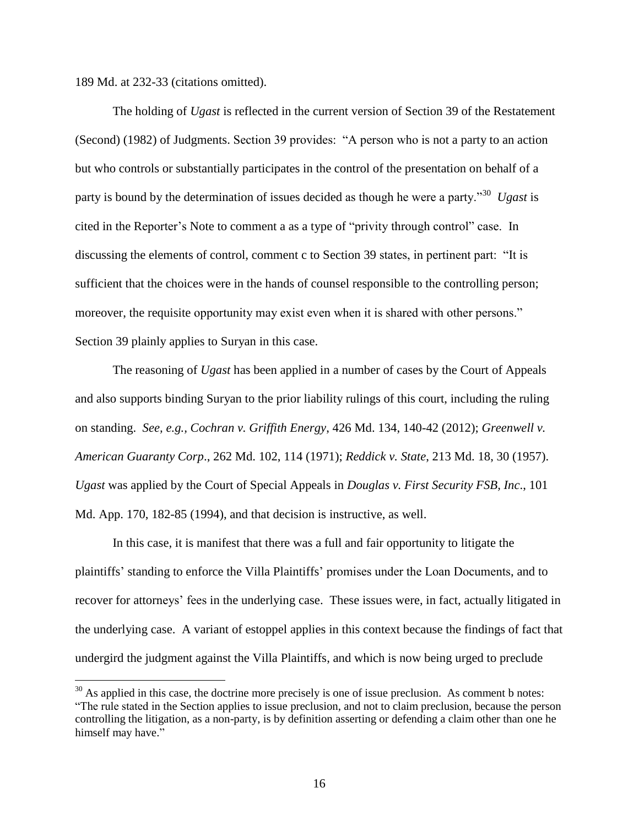189 Md. at 232-33 (citations omitted).

 $\overline{a}$ 

The holding of *Ugast* is reflected in the current version of Section 39 of the Restatement (Second) (1982) of Judgments. Section 39 provides: "A person who is not a party to an action but who controls or substantially participates in the control of the presentation on behalf of a party is bound by the determination of issues decided as though he were a party."<sup>30</sup> *Ugast* is cited in the Reporter's Note to comment a as a type of "privity through control" case. In discussing the elements of control, comment c to Section 39 states, in pertinent part: "It is sufficient that the choices were in the hands of counsel responsible to the controlling person; moreover, the requisite opportunity may exist even when it is shared with other persons." Section 39 plainly applies to Suryan in this case.

The reasoning of *Ugast* has been applied in a number of cases by the Court of Appeals and also supports binding Suryan to the prior liability rulings of this court, including the ruling on standing. *See, e.g., Cochran v. Griffith Energy*, 426 Md. 134, 140-42 (2012); *Greenwell v. American Guaranty Corp*., 262 Md. 102, 114 (1971); *Reddick v. State*, 213 Md. 18, 30 (1957). *Ugast* was applied by the Court of Special Appeals in *Douglas v. First Security FSB, Inc*., 101 Md. App. 170, 182-85 (1994), and that decision is instructive, as well.

In this case, it is manifest that there was a full and fair opportunity to litigate the plaintiffs' standing to enforce the Villa Plaintiffs' promises under the Loan Documents, and to recover for attorneys' fees in the underlying case. These issues were, in fact, actually litigated in the underlying case. A variant of estoppel applies in this context because the findings of fact that undergird the judgment against the Villa Plaintiffs, and which is now being urged to preclude

 $30$  As applied in this case, the doctrine more precisely is one of issue preclusion. As comment b notes: "The rule stated in the Section applies to issue preclusion, and not to claim preclusion, because the person controlling the litigation, as a non-party, is by definition asserting or defending a claim other than one he himself may have."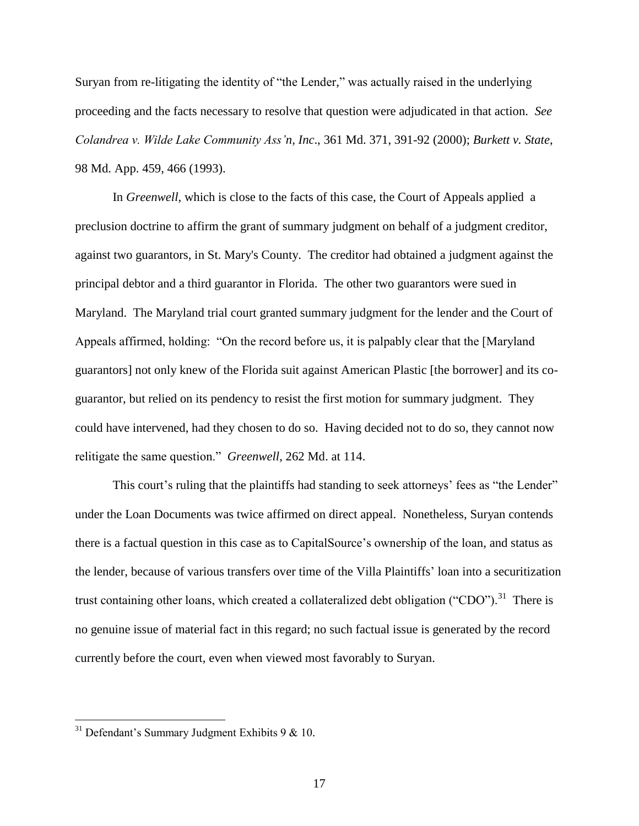Suryan from re-litigating the identity of "the Lender," was actually raised in the underlying proceeding and the facts necessary to resolve that question were adjudicated in that action. *See Colandrea v. Wilde Lake Community Ass'n, Inc*., 361 Md. 371, 391-92 (2000); *Burkett v. State*, 98 Md. App. 459, 466 (1993).

In *Greenwell*, which is close to the facts of this case, the Court of Appeals applied a preclusion doctrine to affirm the grant of summary judgment on behalf of a judgment creditor, against two guarantors, in St. Mary's County. The creditor had obtained a judgment against the principal debtor and a third guarantor in Florida. The other two guarantors were sued in Maryland. The Maryland trial court granted summary judgment for the lender and the Court of Appeals affirmed, holding: "On the record before us, it is palpably clear that the [Maryland guarantors] not only knew of the Florida suit against American Plastic [the borrower] and its coguarantor, but relied on its pendency to resist the first motion for summary judgment. They could have intervened, had they chosen to do so. Having decided not to do so, they cannot now relitigate the same question." *Greenwell*, 262 Md. at 114.

This court's ruling that the plaintiffs had standing to seek attorneys' fees as "the Lender" under the Loan Documents was twice affirmed on direct appeal. Nonetheless, Suryan contends there is a factual question in this case as to CapitalSource's ownership of the loan, and status as the lender, because of various transfers over time of the Villa Plaintiffs' loan into a securitization trust containing other loans, which created a collateralized debt obligation ("CDO").<sup>31</sup> There is no genuine issue of material fact in this regard; no such factual issue is generated by the record currently before the court, even when viewed most favorably to Suryan.

 $31$  Defendant's Summary Judgment Exhibits 9 & 10.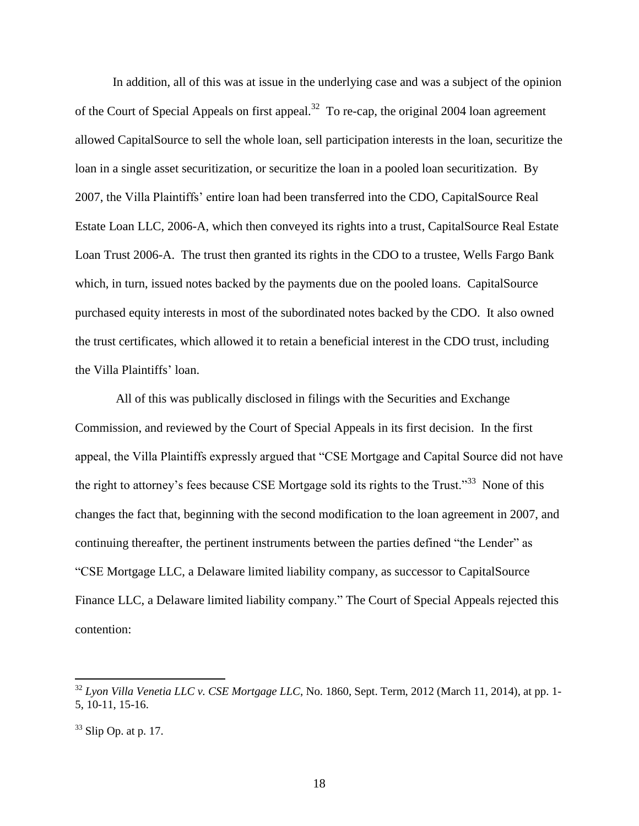In addition, all of this was at issue in the underlying case and was a subject of the opinion of the Court of Special Appeals on first appeal.<sup>32</sup> To re-cap, the original 2004 loan agreement allowed CapitalSource to sell the whole loan, sell participation interests in the loan, securitize the loan in a single asset securitization, or securitize the loan in a pooled loan securitization. By 2007, the Villa Plaintiffs' entire loan had been transferred into the CDO, CapitalSource Real Estate Loan LLC, 2006-A, which then conveyed its rights into a trust, CapitalSource Real Estate Loan Trust 2006-A. The trust then granted its rights in the CDO to a trustee, Wells Fargo Bank which, in turn, issued notes backed by the payments due on the pooled loans. CapitalSource purchased equity interests in most of the subordinated notes backed by the CDO. It also owned the trust certificates, which allowed it to retain a beneficial interest in the CDO trust, including the Villa Plaintiffs' loan.

All of this was publically disclosed in filings with the Securities and Exchange Commission, and reviewed by the Court of Special Appeals in its first decision. In the first appeal, the Villa Plaintiffs expressly argued that "CSE Mortgage and Capital Source did not have the right to attorney's fees because CSE Mortgage sold its rights to the Trust."<sup>33</sup> None of this changes the fact that, beginning with the second modification to the loan agreement in 2007, and continuing thereafter, the pertinent instruments between the parties defined "the Lender" as "CSE Mortgage LLC, a Delaware limited liability company, as successor to CapitalSource Finance LLC, a Delaware limited liability company." The Court of Special Appeals rejected this contention:

<sup>32</sup> *Lyon Villa Venetia LLC v. CSE Mortgage LLC*, No. 1860, Sept. Term, 2012 (March 11, 2014), at pp. 1- 5, 10-11, 15-16.

 $33$  Slip Op. at p. 17.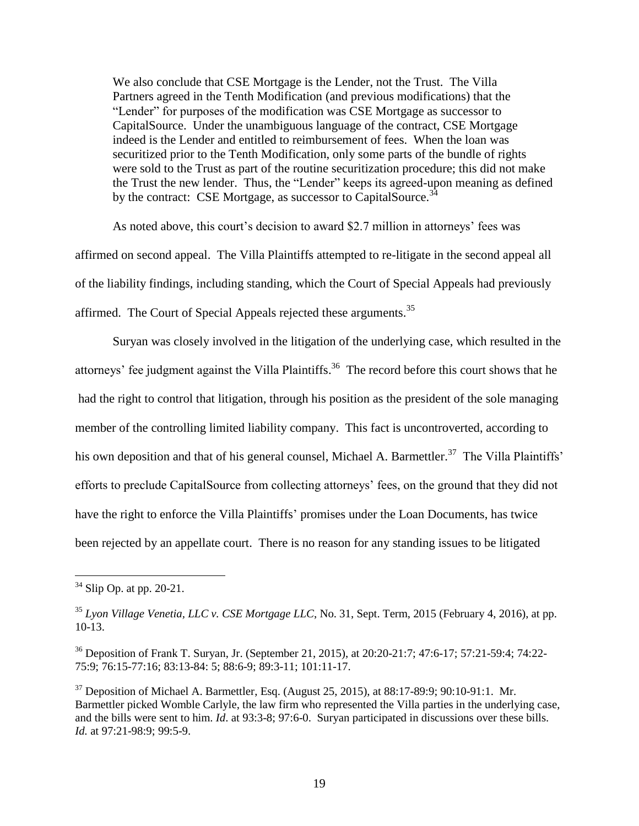We also conclude that CSE Mortgage is the Lender, not the Trust. The Villa Partners agreed in the Tenth Modification (and previous modifications) that the "Lender" for purposes of the modification was CSE Mortgage as successor to CapitalSource. Under the unambiguous language of the contract, CSE Mortgage indeed is the Lender and entitled to reimbursement of fees. When the loan was securitized prior to the Tenth Modification, only some parts of the bundle of rights were sold to the Trust as part of the routine securitization procedure; this did not make the Trust the new lender. Thus, the "Lender" keeps its agreed-upon meaning as defined by the contract: CSE Mortgage, as successor to CapitalSource.<sup>34</sup>

As noted above, this court's decision to award \$2.7 million in attorneys' fees was affirmed on second appeal. The Villa Plaintiffs attempted to re-litigate in the second appeal all of the liability findings, including standing, which the Court of Special Appeals had previously affirmed. The Court of Special Appeals rejected these arguments.<sup>35</sup>

Suryan was closely involved in the litigation of the underlying case, which resulted in the attorneys' fee judgment against the Villa Plaintiffs.<sup>36</sup> The record before this court shows that he had the right to control that litigation, through his position as the president of the sole managing member of the controlling limited liability company. This fact is uncontroverted, according to his own deposition and that of his general counsel, Michael A. Barmettler.<sup>37</sup> The Villa Plaintiffs' efforts to preclude CapitalSource from collecting attorneys' fees, on the ground that they did not have the right to enforce the Villa Plaintiffs' promises under the Loan Documents, has twice been rejected by an appellate court. There is no reason for any standing issues to be litigated

 $34$  Slip Op. at pp. 20-21.

<sup>35</sup> *Lyon Village Venetia, LLC v. CSE Mortgage LLC*, No. 31, Sept. Term, 2015 (February 4, 2016), at pp. 10-13.

<sup>36</sup> Deposition of Frank T. Suryan, Jr. (September 21, 2015), at 20:20-21:7; 47:6-17; 57:21-59:4; 74:22- 75:9; 76:15-77:16; 83:13-84: 5; 88:6-9; 89:3-11; 101:11-17.

 $37$  Deposition of Michael A. Barmettler, Esq. (August 25, 2015), at 88:17-89:9; 90:10-91:1. Mr. Barmettler picked Womble Carlyle, the law firm who represented the Villa parties in the underlying case, and the bills were sent to him. *Id*. at 93:3-8; 97:6-0. Suryan participated in discussions over these bills. *Id.* at 97:21-98:9; 99:5-9.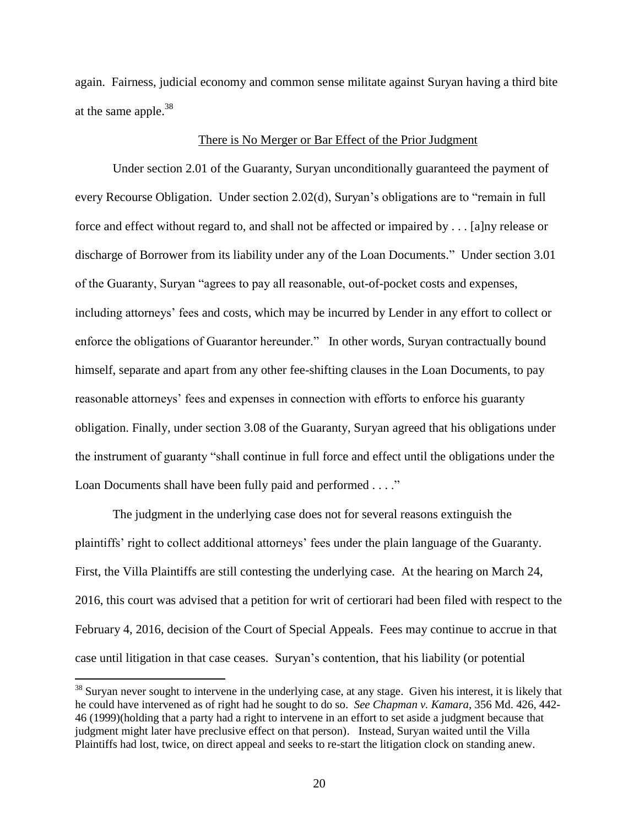again. Fairness, judicial economy and common sense militate against Suryan having a third bite at the same apple.<sup>38</sup>

### There is No Merger or Bar Effect of the Prior Judgment

Under section 2.01 of the Guaranty, Suryan unconditionally guaranteed the payment of every Recourse Obligation. Under section 2.02(d), Suryan's obligations are to "remain in full force and effect without regard to, and shall not be affected or impaired by . . . [a]ny release or discharge of Borrower from its liability under any of the Loan Documents." Under section 3.01 of the Guaranty, Suryan "agrees to pay all reasonable, out-of-pocket costs and expenses, including attorneys' fees and costs, which may be incurred by Lender in any effort to collect or enforce the obligations of Guarantor hereunder." In other words, Suryan contractually bound himself, separate and apart from any other fee-shifting clauses in the Loan Documents, to pay reasonable attorneys' fees and expenses in connection with efforts to enforce his guaranty obligation. Finally, under section 3.08 of the Guaranty, Suryan agreed that his obligations under the instrument of guaranty "shall continue in full force and effect until the obligations under the Loan Documents shall have been fully paid and performed . . . ."

The judgment in the underlying case does not for several reasons extinguish the plaintiffs' right to collect additional attorneys' fees under the plain language of the Guaranty. First, the Villa Plaintiffs are still contesting the underlying case. At the hearing on March 24, 2016, this court was advised that a petition for writ of certiorari had been filed with respect to the February 4, 2016, decision of the Court of Special Appeals. Fees may continue to accrue in that case until litigation in that case ceases. Suryan's contention, that his liability (or potential

 $38$  Suryan never sought to intervene in the underlying case, at any stage. Given his interest, it is likely that he could have intervened as of right had he sought to do so. *See Chapman v. Kamara*, 356 Md. 426, 442- 46 (1999)(holding that a party had a right to intervene in an effort to set aside a judgment because that judgment might later have preclusive effect on that person). Instead, Suryan waited until the Villa Plaintiffs had lost, twice, on direct appeal and seeks to re-start the litigation clock on standing anew.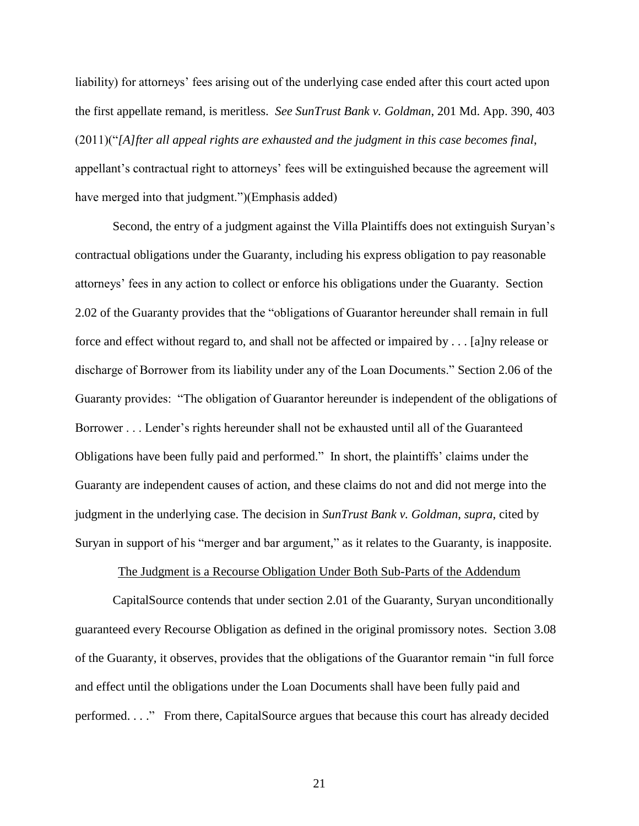liability) for attorneys' fees arising out of the underlying case ended after this court acted upon the first appellate remand, is meritless. *See SunTrust Bank v. Goldman*, 201 Md. App. 390, 403 (2011)("*[A]fter all appeal rights are exhausted and the judgment in this case becomes final*, appellant's contractual right to attorneys' fees will be extinguished because the agreement will have merged into that judgment.")(Emphasis added)

Second, the entry of a judgment against the Villa Plaintiffs does not extinguish Suryan's contractual obligations under the Guaranty, including his express obligation to pay reasonable attorneys' fees in any action to collect or enforce his obligations under the Guaranty. Section 2.02 of the Guaranty provides that the "obligations of Guarantor hereunder shall remain in full force and effect without regard to, and shall not be affected or impaired by . . . [a]ny release or discharge of Borrower from its liability under any of the Loan Documents." Section 2.06 of the Guaranty provides: "The obligation of Guarantor hereunder is independent of the obligations of Borrower . . . Lender's rights hereunder shall not be exhausted until all of the Guaranteed Obligations have been fully paid and performed." In short, the plaintiffs' claims under the Guaranty are independent causes of action, and these claims do not and did not merge into the judgment in the underlying case. The decision in *SunTrust Bank v. Goldman*, *supra*, cited by Suryan in support of his "merger and bar argument," as it relates to the Guaranty, is inapposite.

### The Judgment is a Recourse Obligation Under Both Sub-Parts of the Addendum

CapitalSource contends that under section 2.01 of the Guaranty, Suryan unconditionally guaranteed every Recourse Obligation as defined in the original promissory notes. Section 3.08 of the Guaranty, it observes, provides that the obligations of the Guarantor remain "in full force and effect until the obligations under the Loan Documents shall have been fully paid and performed. . . ." From there, CapitalSource argues that because this court has already decided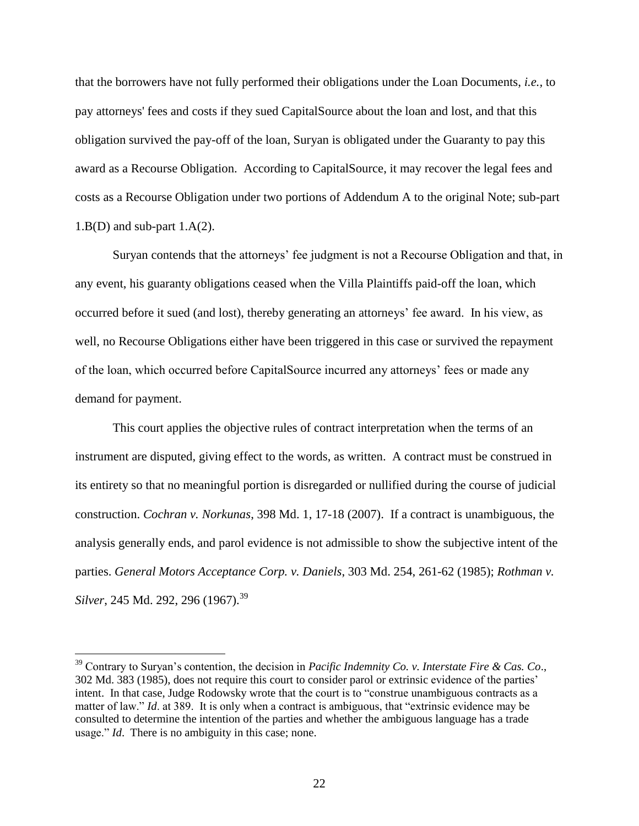that the borrowers have not fully performed their obligations under the Loan Documents, *i.e.,* to pay attorneys' fees and costs if they sued CapitalSource about the loan and lost, and that this obligation survived the pay-off of the loan, Suryan is obligated under the Guaranty to pay this award as a Recourse Obligation. According to CapitalSource, it may recover the legal fees and costs as a Recourse Obligation under two portions of Addendum A to the original Note; sub-part  $1.B(D)$  and sub-part  $1.A(2)$ .

Suryan contends that the attorneys' fee judgment is not a Recourse Obligation and that, in any event, his guaranty obligations ceased when the Villa Plaintiffs paid-off the loan, which occurred before it sued (and lost), thereby generating an attorneys' fee award. In his view, as well, no Recourse Obligations either have been triggered in this case or survived the repayment of the loan, which occurred before CapitalSource incurred any attorneys' fees or made any demand for payment.

This court applies the objective rules of contract interpretation when the terms of an instrument are disputed, giving effect to the words, as written. A contract must be construed in its entirety so that no meaningful portion is disregarded or nullified during the course of judicial construction. *Cochran v. Norkunas*, 398 Md. 1, 17-18 (2007). If a contract is unambiguous, the analysis generally ends, and parol evidence is not admissible to show the subjective intent of the parties. *General Motors Acceptance Corp. v. Daniels*, 303 Md. 254, 261-62 (1985); *Rothman v. Silver*, 245 Md. 292, 296 (1967).<sup>39</sup>

<sup>39</sup> Contrary to Suryan's contention, the decision in *Pacific Indemnity Co. v. Interstate Fire & Cas. Co*., 302 Md. 383 (1985), does not require this court to consider parol or extrinsic evidence of the parties' intent. In that case, Judge Rodowsky wrote that the court is to "construe unambiguous contracts as a matter of law." *Id.* at 389. It is only when a contract is ambiguous, that "extrinsic evidence may be consulted to determine the intention of the parties and whether the ambiguous language has a trade usage." *Id*. There is no ambiguity in this case; none.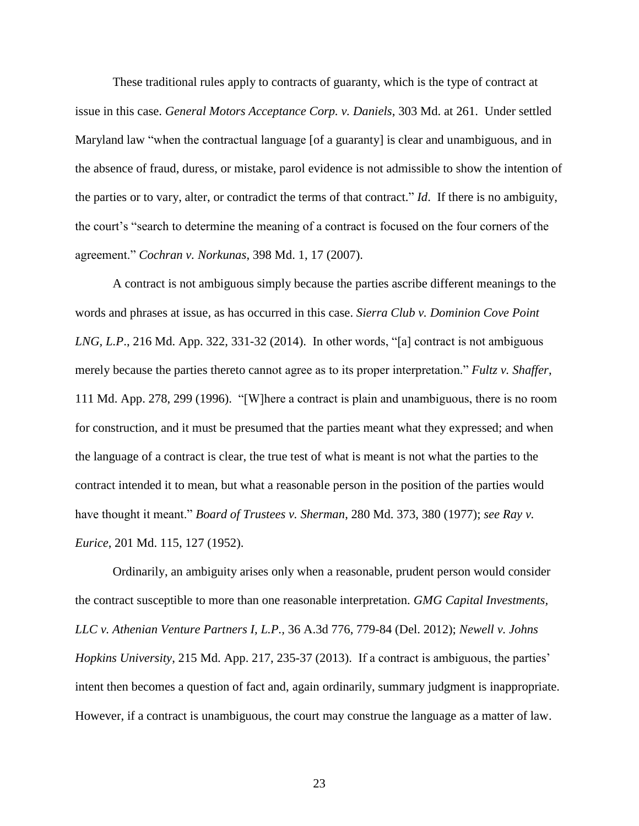These traditional rules apply to contracts of guaranty, which is the type of contract at issue in this case. *General Motors Acceptance Corp. v. Daniels*, 303 Md. at 261. Under settled Maryland law "when the contractual language [of a guaranty] is clear and unambiguous, and in the absence of fraud, duress, or mistake, parol evidence is not admissible to show the intention of the parties or to vary, alter, or contradict the terms of that contract." *Id*. If there is no ambiguity, the court's "search to determine the meaning of a contract is focused on the four corners of the agreement." *Cochran v. Norkunas*, 398 Md. 1, 17 (2007).

A contract is not ambiguous simply because the parties ascribe different meanings to the words and phrases at issue, as has occurred in this case. *Sierra Club v. Dominion Cove Point LNG, L.P*., 216 Md. App. 322, 331-32 (2014). In other words, "[a] contract is not ambiguous merely because the parties thereto cannot agree as to its proper interpretation." *Fultz v. Shaffer*, 111 Md. App. 278, 299 (1996). "[W]here a contract is plain and unambiguous, there is no room for construction, and it must be presumed that the parties meant what they expressed; and when the language of a contract is clear, the true test of what is meant is not what the parties to the contract intended it to mean, but what a reasonable person in the position of the parties would have thought it meant." *Board of Trustees v. Sherman*, 280 Md. 373, 380 (1977); *see Ray v. Eurice*, 201 Md. 115, 127 (1952).

Ordinarily, an ambiguity arises only when a reasonable, prudent person would consider the contract susceptible to more than one reasonable interpretation. *GMG Capital Investments, LLC v. Athenian Venture Partners I, L.P.,* 36 A.3d 776, 779-84 (Del. 2012); *Newell v. Johns Hopkins University*, 215 Md. App. 217, 235-37 (2013). If a contract is ambiguous, the parties' intent then becomes a question of fact and, again ordinarily, summary judgment is inappropriate. However, if a contract is unambiguous, the court may construe the language as a matter of law.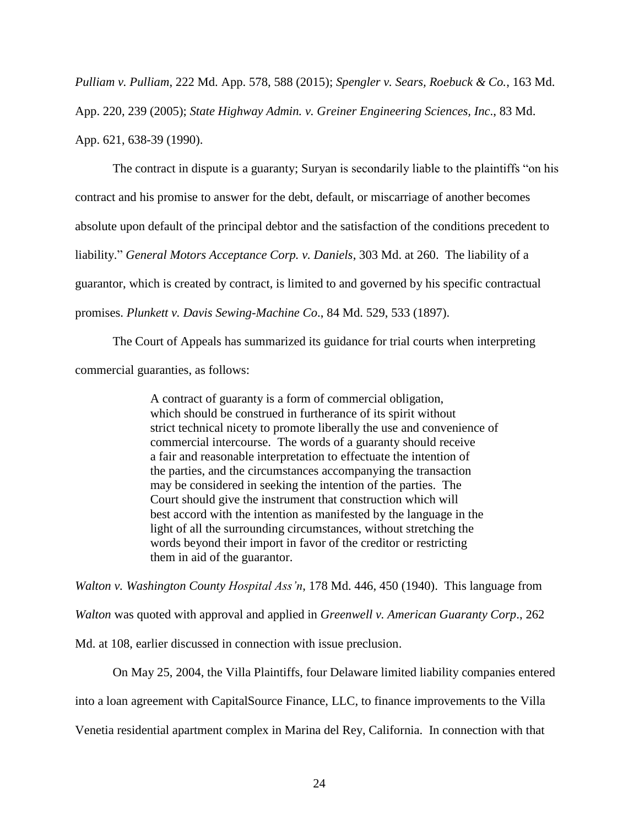*Pulliam v. Pulliam*, 222 Md. App. 578, 588 (2015); *Spengler v. Sears, Roebuck & Co.*, 163 Md. App. 220, 239 (2005); *State Highway Admin. v. Greiner Engineering Sciences, Inc*., 83 Md. App. 621, 638-39 (1990).

The contract in dispute is a guaranty; Suryan is secondarily liable to the plaintiffs "on his contract and his promise to answer for the debt, default, or miscarriage of another becomes absolute upon default of the principal debtor and the satisfaction of the conditions precedent to liability." *General Motors Acceptance Corp. v. Daniels*, 303 Md. at 260. The liability of a guarantor, which is created by contract, is limited to and governed by his specific contractual promises. *Plunkett v. Davis Sewing-Machine Co*., 84 Md. 529, 533 (1897).

The Court of Appeals has summarized its guidance for trial courts when interpreting commercial guaranties, as follows:

> A contract of guaranty is a form of commercial obligation, which should be construed in furtherance of its spirit without strict technical nicety to promote liberally the use and convenience of commercial intercourse. The words of a guaranty should receive a fair and reasonable interpretation to effectuate the intention of the parties, and the circumstances accompanying the transaction may be considered in seeking the intention of the parties. The Court should give the instrument that construction which will best accord with the intention as manifested by the language in the light of all the surrounding circumstances, without stretching the words beyond their import in favor of the creditor or restricting them in aid of the guarantor.

*Walton v. Washington County Hospital Ass'n*, 178 Md. 446, 450 (1940). This language from

*Walton* was quoted with approval and applied in *Greenwell v. American Guaranty Corp*., 262

Md. at 108, earlier discussed in connection with issue preclusion.

On May 25, 2004, the Villa Plaintiffs, four Delaware limited liability companies entered

into a loan agreement with CapitalSource Finance, LLC, to finance improvements to the Villa

Venetia residential apartment complex in Marina del Rey, California. In connection with that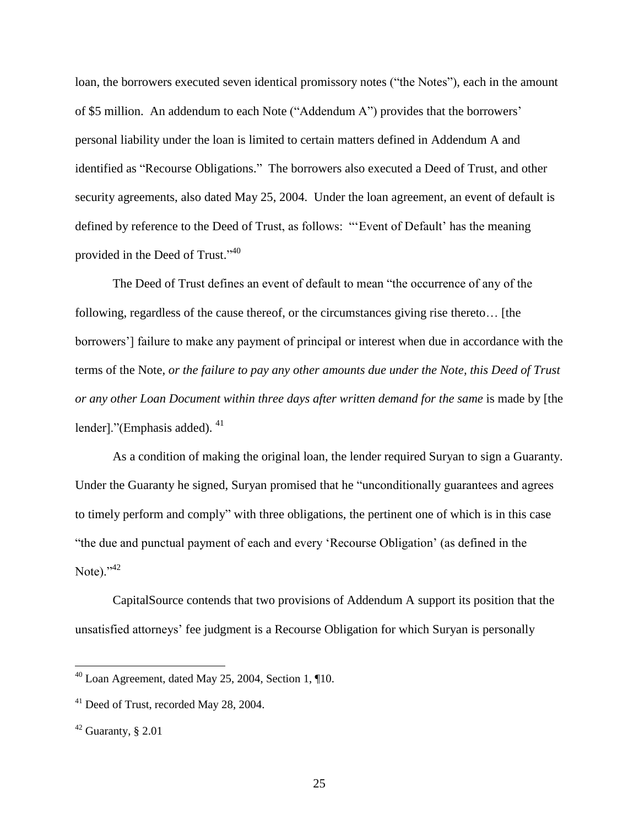loan, the borrowers executed seven identical promissory notes ("the Notes"), each in the amount of \$5 million. An addendum to each Note ("Addendum A") provides that the borrowers' personal liability under the loan is limited to certain matters defined in Addendum A and identified as "Recourse Obligations." The borrowers also executed a Deed of Trust, and other security agreements, also dated May 25, 2004. Under the loan agreement, an event of default is defined by reference to the Deed of Trust, as follows: "'Event of Default' has the meaning provided in the Deed of Trust."<sup>40</sup>

The Deed of Trust defines an event of default to mean "the occurrence of any of the following, regardless of the cause thereof, or the circumstances giving rise thereto… [the borrowers'] failure to make any payment of principal or interest when due in accordance with the terms of the Note, *or the failure to pay any other amounts due under the Note, this Deed of Trust or any other Loan Document within three days after written demand for the same* is made by [the lender]."(Emphasis added).<sup>41</sup>

As a condition of making the original loan, the lender required Suryan to sign a Guaranty. Under the Guaranty he signed, Suryan promised that he "unconditionally guarantees and agrees to timely perform and comply" with three obligations, the pertinent one of which is in this case "the due and punctual payment of each and every 'Recourse Obligation' (as defined in the Note). $^{342}$ 

CapitalSource contends that two provisions of Addendum A support its position that the unsatisfied attorneys' fee judgment is a Recourse Obligation for which Suryan is personally

 $^{40}$  Loan Agreement, dated May 25, 2004, Section 1, ¶10.

<sup>&</sup>lt;sup>41</sup> Deed of Trust, recorded May 28, 2004.

 $42$  Guaranty, § 2.01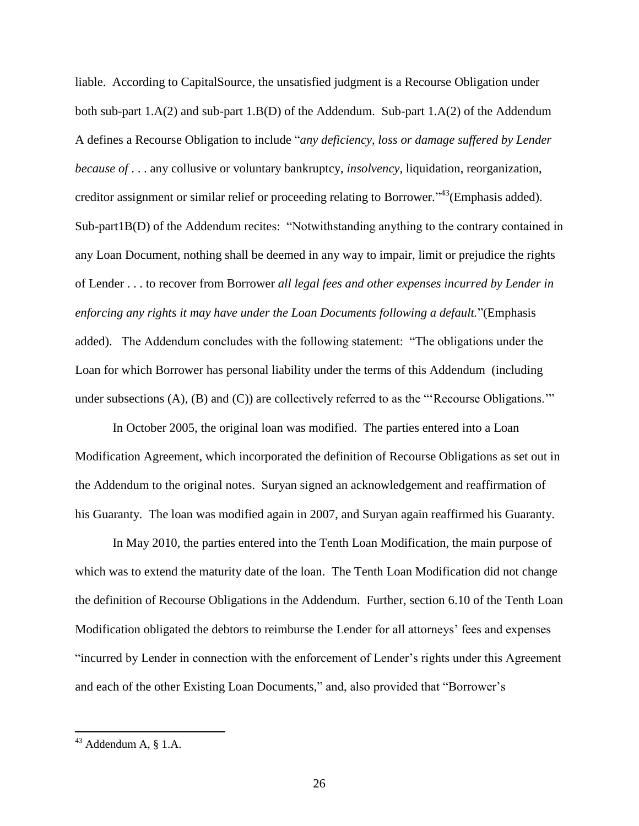liable. According to CapitalSource, the unsatisfied judgment is a Recourse Obligation under both sub-part 1.A(2) and sub-part 1.B(D) of the Addendum. Sub-part 1.A(2) of the Addendum A defines a Recourse Obligation to include "*any deficiency, loss or damage suffered by Lender because of* . . . any collusive or voluntary bankruptcy, *insolvency*, liquidation, reorganization, creditor assignment or similar relief or proceeding relating to Borrower."<sup>43</sup>(Emphasis added). Sub-part1B(D) of the Addendum recites: "Notwithstanding anything to the contrary contained in any Loan Document, nothing shall be deemed in any way to impair, limit or prejudice the rights of Lender . . . to recover from Borrower *all legal fees and other expenses incurred by Lender in enforcing any rights it may have under the Loan Documents following a default.*"(Emphasis added). The Addendum concludes with the following statement: "The obligations under the Loan for which Borrower has personal liability under the terms of this Addendum (including under subsections (A), (B) and (C)) are collectively referred to as the "'Recourse Obligations.'"

In October 2005, the original loan was modified. The parties entered into a Loan Modification Agreement, which incorporated the definition of Recourse Obligations as set out in the Addendum to the original notes. Suryan signed an acknowledgement and reaffirmation of his Guaranty. The loan was modified again in 2007, and Suryan again reaffirmed his Guaranty.

In May 2010, the parties entered into the Tenth Loan Modification, the main purpose of which was to extend the maturity date of the loan. The Tenth Loan Modification did not change the definition of Recourse Obligations in the Addendum. Further, section 6.10 of the Tenth Loan Modification obligated the debtors to reimburse the Lender for all attorneys' fees and expenses "incurred by Lender in connection with the enforcement of Lender's rights under this Agreement and each of the other Existing Loan Documents," and, also provided that "Borrower's

 $43$  Addendum A,  $\S$  1.A.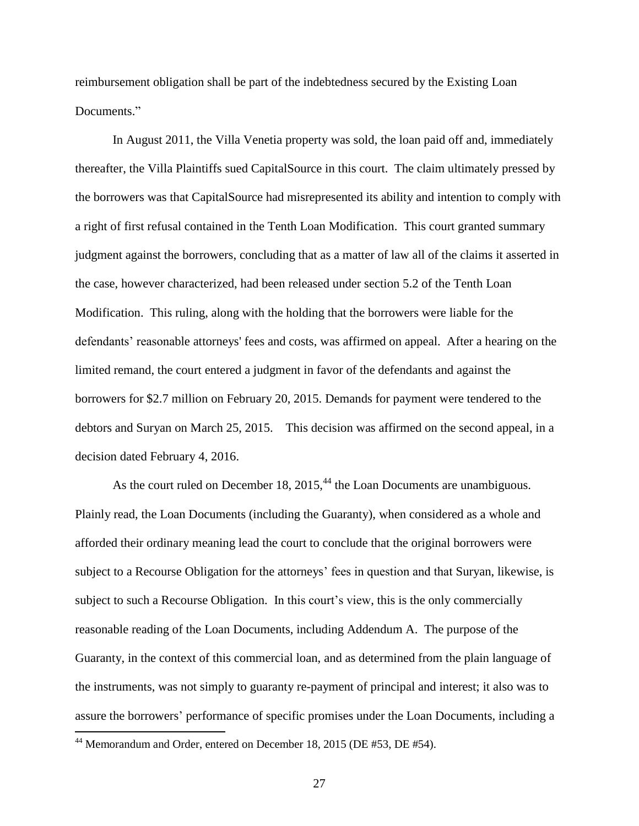reimbursement obligation shall be part of the indebtedness secured by the Existing Loan Documents."

In August 2011, the Villa Venetia property was sold, the loan paid off and, immediately thereafter, the Villa Plaintiffs sued CapitalSource in this court. The claim ultimately pressed by the borrowers was that CapitalSource had misrepresented its ability and intention to comply with a right of first refusal contained in the Tenth Loan Modification. This court granted summary judgment against the borrowers, concluding that as a matter of law all of the claims it asserted in the case, however characterized, had been released under section 5.2 of the Tenth Loan Modification. This ruling, along with the holding that the borrowers were liable for the defendants' reasonable attorneys' fees and costs, was affirmed on appeal. After a hearing on the limited remand, the court entered a judgment in favor of the defendants and against the borrowers for \$2.7 million on February 20, 2015. Demands for payment were tendered to the debtors and Suryan on March 25, 2015. This decision was affirmed on the second appeal, in a decision dated February 4, 2016.

As the court ruled on December 18,  $2015<sup>44</sup>$ , the Loan Documents are unambiguous. Plainly read, the Loan Documents (including the Guaranty), when considered as a whole and afforded their ordinary meaning lead the court to conclude that the original borrowers were subject to a Recourse Obligation for the attorneys' fees in question and that Suryan, likewise, is subject to such a Recourse Obligation. In this court's view, this is the only commercially reasonable reading of the Loan Documents, including Addendum A. The purpose of the Guaranty, in the context of this commercial loan, and as determined from the plain language of the instruments, was not simply to guaranty re-payment of principal and interest; it also was to assure the borrowers' performance of specific promises under the Loan Documents, including a

 $44$  Memorandum and Order, entered on December 18, 2015 (DE #53, DE #54).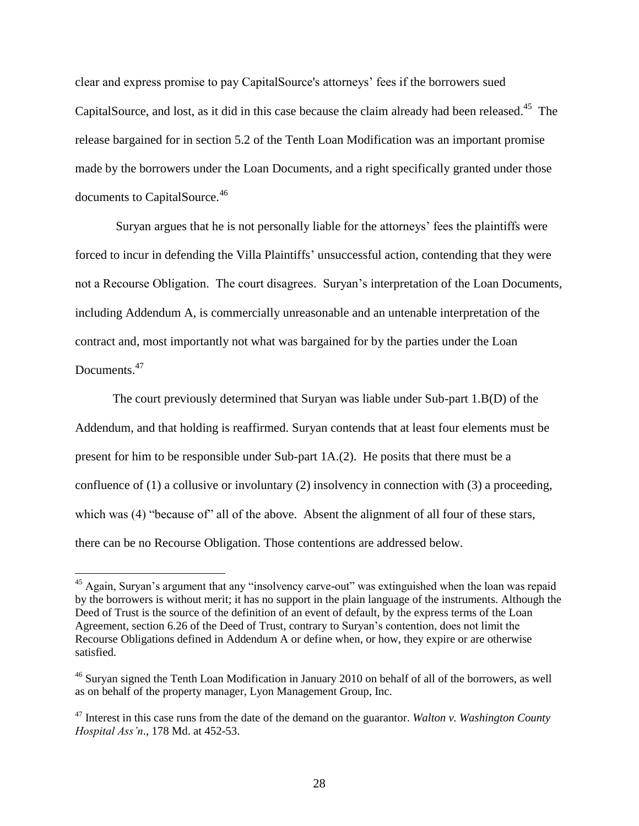clear and express promise to pay CapitalSource's attorneys' fees if the borrowers sued CapitalSource, and lost, as it did in this case because the claim already had been released.<sup>45</sup> The release bargained for in section 5.2 of the Tenth Loan Modification was an important promise made by the borrowers under the Loan Documents, and a right specifically granted under those documents to CapitalSource.<sup>46</sup>

Suryan argues that he is not personally liable for the attorneys' fees the plaintiffs were forced to incur in defending the Villa Plaintiffs' unsuccessful action, contending that they were not a Recourse Obligation. The court disagrees. Suryan's interpretation of the Loan Documents, including Addendum A, is commercially unreasonable and an untenable interpretation of the contract and, most importantly not what was bargained for by the parties under the Loan Documents.<sup>47</sup>

The court previously determined that Suryan was liable under Sub-part 1.B(D) of the Addendum, and that holding is reaffirmed. Suryan contends that at least four elements must be present for him to be responsible under Sub-part 1A.(2). He posits that there must be a confluence of (1) a collusive or involuntary (2) insolvency in connection with (3) a proceeding, which was (4) "because of" all of the above. Absent the alignment of all four of these stars, there can be no Recourse Obligation. Those contentions are addressed below.

<sup>&</sup>lt;sup>45</sup> Again, Survan's argument that any "insolvency carve-out" was extinguished when the loan was repaid by the borrowers is without merit; it has no support in the plain language of the instruments. Although the Deed of Trust is the source of the definition of an event of default, by the express terms of the Loan Agreement, section 6.26 of the Deed of Trust, contrary to Suryan's contention, does not limit the Recourse Obligations defined in Addendum A or define when, or how, they expire or are otherwise satisfied.

<sup>&</sup>lt;sup>46</sup> Survan signed the Tenth Loan Modification in January 2010 on behalf of all of the borrowers, as well as on behalf of the property manager, Lyon Management Group, Inc.

<sup>47</sup> Interest in this case runs from the date of the demand on the guarantor. *Walton v. Washington County Hospital Ass'n*., 178 Md. at 452-53.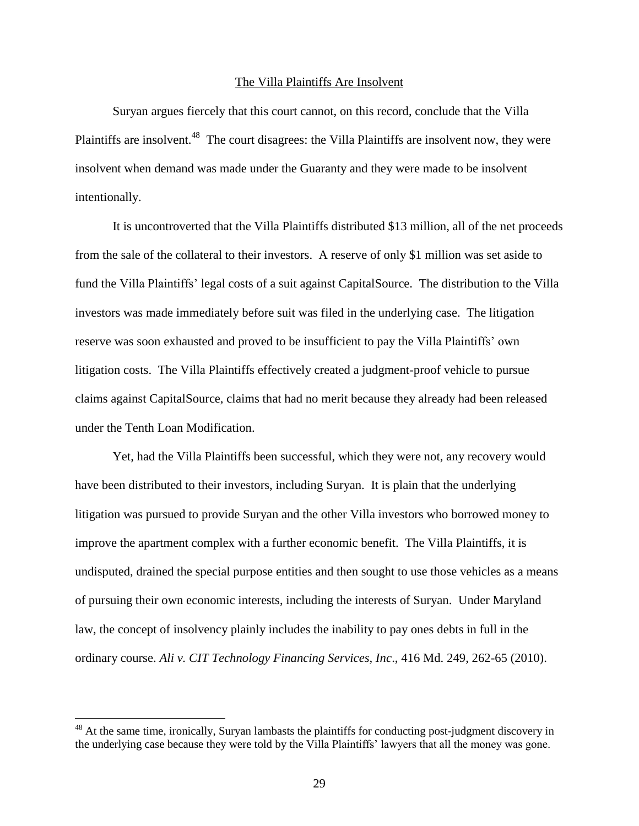#### The Villa Plaintiffs Are Insolvent

Suryan argues fiercely that this court cannot, on this record, conclude that the Villa Plaintiffs are insolvent.<sup>48</sup> The court disagrees: the Villa Plaintiffs are insolvent now, they were insolvent when demand was made under the Guaranty and they were made to be insolvent intentionally.

It is uncontroverted that the Villa Plaintiffs distributed \$13 million, all of the net proceeds from the sale of the collateral to their investors. A reserve of only \$1 million was set aside to fund the Villa Plaintiffs' legal costs of a suit against CapitalSource. The distribution to the Villa investors was made immediately before suit was filed in the underlying case. The litigation reserve was soon exhausted and proved to be insufficient to pay the Villa Plaintiffs' own litigation costs. The Villa Plaintiffs effectively created a judgment-proof vehicle to pursue claims against CapitalSource, claims that had no merit because they already had been released under the Tenth Loan Modification.

Yet, had the Villa Plaintiffs been successful, which they were not, any recovery would have been distributed to their investors, including Suryan. It is plain that the underlying litigation was pursued to provide Suryan and the other Villa investors who borrowed money to improve the apartment complex with a further economic benefit. The Villa Plaintiffs, it is undisputed, drained the special purpose entities and then sought to use those vehicles as a means of pursuing their own economic interests, including the interests of Suryan. Under Maryland law, the concept of insolvency plainly includes the inability to pay ones debts in full in the ordinary course. *Ali v. CIT Technology Financing Services, Inc*., 416 Md. 249, 262-65 (2010).

<sup>&</sup>lt;sup>48</sup> At the same time, ironically, Suryan lambasts the plaintiffs for conducting post-judgment discovery in the underlying case because they were told by the Villa Plaintiffs' lawyers that all the money was gone.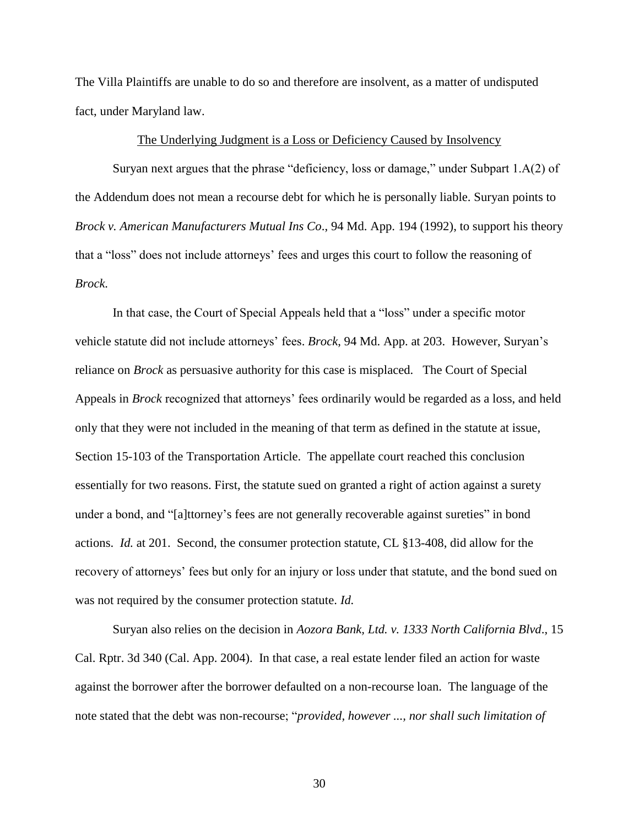The Villa Plaintiffs are unable to do so and therefore are insolvent, as a matter of undisputed fact, under Maryland law.

### The Underlying Judgment is a Loss or Deficiency Caused by Insolvency

Suryan next argues that the phrase "deficiency, loss or damage," under Subpart 1.A(2) of the Addendum does not mean a recourse debt for which he is personally liable. Suryan points to *Brock v. American Manufacturers Mutual Ins Co*., 94 Md. App. 194 (1992), to support his theory that a "loss" does not include attorneys' fees and urges this court to follow the reasoning of *Brock*.

In that case, the Court of Special Appeals held that a "loss" under a specific motor vehicle statute did not include attorneys' fees. *Brock*, 94 Md. App. at 203. However, Suryan's reliance on *Brock* as persuasive authority for this case is misplaced. The Court of Special Appeals in *Brock* recognized that attorneys' fees ordinarily would be regarded as a loss, and held only that they were not included in the meaning of that term as defined in the statute at issue, Section 15-103 of the Transportation Article. The appellate court reached this conclusion essentially for two reasons. First, the statute sued on granted a right of action against a surety under a bond, and "[a]ttorney's fees are not generally recoverable against sureties" in bond actions. *Id.* at 201. Second, the consumer protection statute, CL §13-408, did allow for the recovery of attorneys' fees but only for an injury or loss under that statute, and the bond sued on was not required by the consumer protection statute. *Id.*

Suryan also relies on the decision in *Aozora Bank, Ltd. v. 1333 North California Blvd*., 15 Cal. Rptr. 3d 340 (Cal. App. 2004). In that case, a real estate lender filed an action for waste against the borrower after the borrower defaulted on a non-recourse loan. The language of the note stated that the debt was non-recourse; "*provided, however ..., nor shall such limitation of*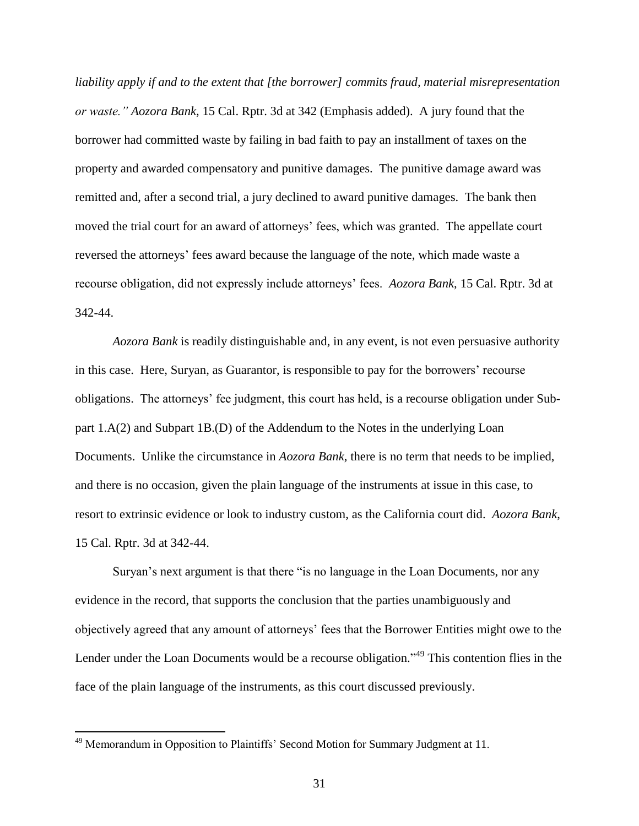*liability apply if and to the extent that [the borrower] commits fraud, material misrepresentation or waste." Aozora Bank*, 15 Cal. Rptr. 3d at 342 (Emphasis added). A jury found that the borrower had committed waste by failing in bad faith to pay an installment of taxes on the property and awarded compensatory and punitive damages. The punitive damage award was remitted and, after a second trial, a jury declined to award punitive damages. The bank then moved the trial court for an award of attorneys' fees, which was granted. The appellate court reversed the attorneys' fees award because the language of the note, which made waste a recourse obligation, did not expressly include attorneys' fees. *Aozora Bank*, 15 Cal. Rptr. 3d at 342-44.

*Aozora Bank* is readily distinguishable and, in any event, is not even persuasive authority in this case. Here, Suryan, as Guarantor, is responsible to pay for the borrowers' recourse obligations. The attorneys' fee judgment, this court has held, is a recourse obligation under Subpart 1.A(2) and Subpart 1B.(D) of the Addendum to the Notes in the underlying Loan Documents. Unlike the circumstance in *Aozora Bank*, there is no term that needs to be implied, and there is no occasion, given the plain language of the instruments at issue in this case, to resort to extrinsic evidence or look to industry custom, as the California court did. *Aozora Bank*, 15 Cal. Rptr. 3d at 342-44.

Suryan's next argument is that there "is no language in the Loan Documents, nor any evidence in the record, that supports the conclusion that the parties unambiguously and objectively agreed that any amount of attorneys' fees that the Borrower Entities might owe to the Lender under the Loan Documents would be a recourse obligation."<sup>49</sup> This contention flies in the face of the plain language of the instruments, as this court discussed previously.

<sup>&</sup>lt;sup>49</sup> Memorandum in Opposition to Plaintiffs' Second Motion for Summary Judgment at 11.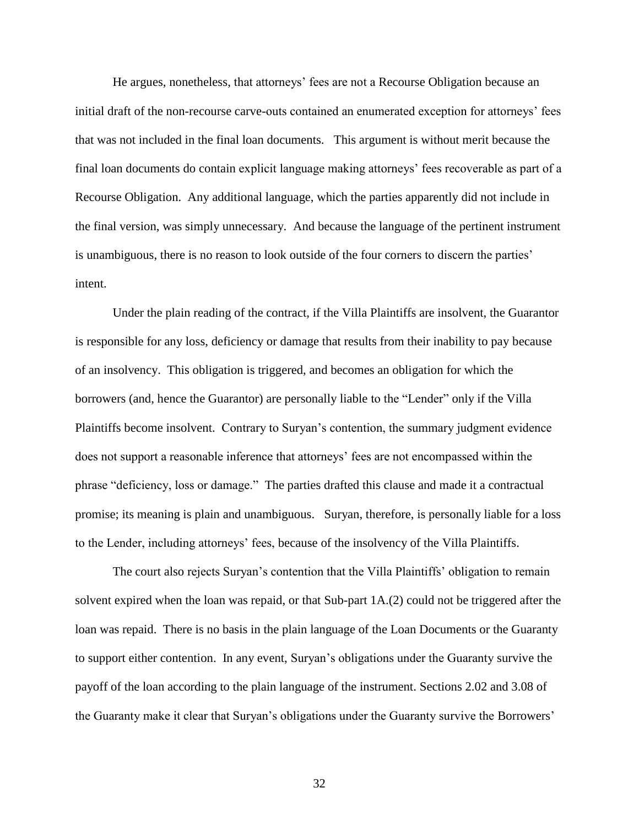He argues, nonetheless, that attorneys' fees are not a Recourse Obligation because an initial draft of the non-recourse carve-outs contained an enumerated exception for attorneys' fees that was not included in the final loan documents. This argument is without merit because the final loan documents do contain explicit language making attorneys' fees recoverable as part of a Recourse Obligation. Any additional language, which the parties apparently did not include in the final version, was simply unnecessary. And because the language of the pertinent instrument is unambiguous, there is no reason to look outside of the four corners to discern the parties' intent.

Under the plain reading of the contract, if the Villa Plaintiffs are insolvent, the Guarantor is responsible for any loss, deficiency or damage that results from their inability to pay because of an insolvency. This obligation is triggered, and becomes an obligation for which the borrowers (and, hence the Guarantor) are personally liable to the "Lender" only if the Villa Plaintiffs become insolvent. Contrary to Suryan's contention, the summary judgment evidence does not support a reasonable inference that attorneys' fees are not encompassed within the phrase "deficiency, loss or damage." The parties drafted this clause and made it a contractual promise; its meaning is plain and unambiguous. Suryan, therefore, is personally liable for a loss to the Lender, including attorneys' fees, because of the insolvency of the Villa Plaintiffs.

The court also rejects Suryan's contention that the Villa Plaintiffs' obligation to remain solvent expired when the loan was repaid, or that Sub-part 1A.(2) could not be triggered after the loan was repaid. There is no basis in the plain language of the Loan Documents or the Guaranty to support either contention. In any event, Suryan's obligations under the Guaranty survive the payoff of the loan according to the plain language of the instrument. Sections 2.02 and 3.08 of the Guaranty make it clear that Suryan's obligations under the Guaranty survive the Borrowers'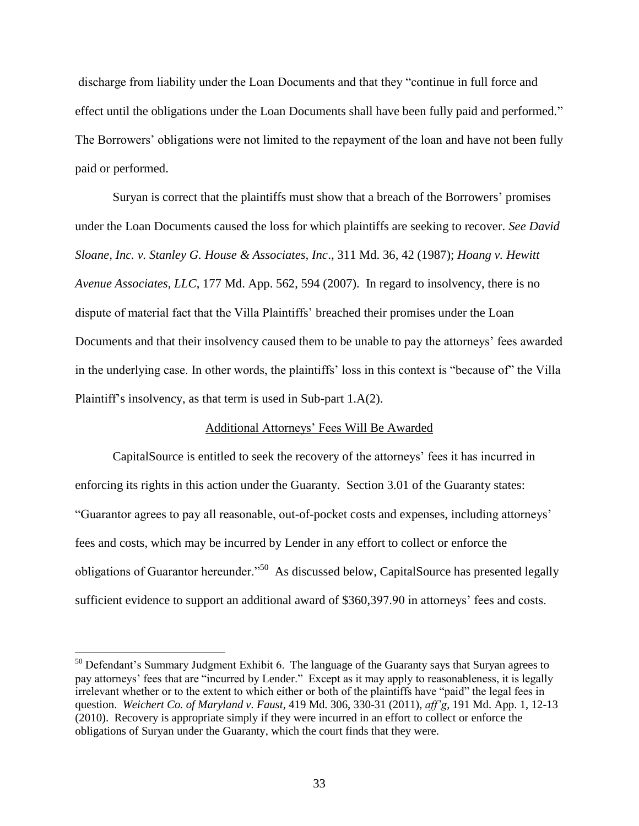discharge from liability under the Loan Documents and that they "continue in full force and effect until the obligations under the Loan Documents shall have been fully paid and performed." The Borrowers' obligations were not limited to the repayment of the loan and have not been fully paid or performed.

Suryan is correct that the plaintiffs must show that a breach of the Borrowers' promises under the Loan Documents caused the loss for which plaintiffs are seeking to recover. *See David Sloane, Inc. v. Stanley G. House & Associates, Inc*., 311 Md. 36, 42 (1987); *Hoang v. Hewitt Avenue Associates, LLC*, 177 Md. App. 562, 594 (2007). In regard to insolvency, there is no dispute of material fact that the Villa Plaintiffs' breached their promises under the Loan Documents and that their insolvency caused them to be unable to pay the attorneys' fees awarded in the underlying case. In other words, the plaintiffs' loss in this context is "because of" the Villa Plaintiff's insolvency, as that term is used in Sub-part 1.A(2).

## Additional Attorneys' Fees Will Be Awarded

CapitalSource is entitled to seek the recovery of the attorneys' fees it has incurred in enforcing its rights in this action under the Guaranty. Section 3.01 of the Guaranty states: "Guarantor agrees to pay all reasonable, out-of-pocket costs and expenses, including attorneys' fees and costs, which may be incurred by Lender in any effort to collect or enforce the obligations of Guarantor hereunder."<sup>50</sup> As discussed below, CapitalSource has presented legally sufficient evidence to support an additional award of \$360,397.90 in attorneys' fees and costs.

 $50$  Defendant's Summary Judgment Exhibit 6. The language of the Guaranty says that Suryan agrees to pay attorneys' fees that are "incurred by Lender." Except as it may apply to reasonableness, it is legally irrelevant whether or to the extent to which either or both of the plaintiffs have "paid" the legal fees in question. *Weichert Co. of Maryland v. Faust*, 419 Md. 306, 330-31 (2011), *aff'g*, 191 Md. App. 1, 12-13 (2010). Recovery is appropriate simply if they were incurred in an effort to collect or enforce the obligations of Suryan under the Guaranty, which the court finds that they were.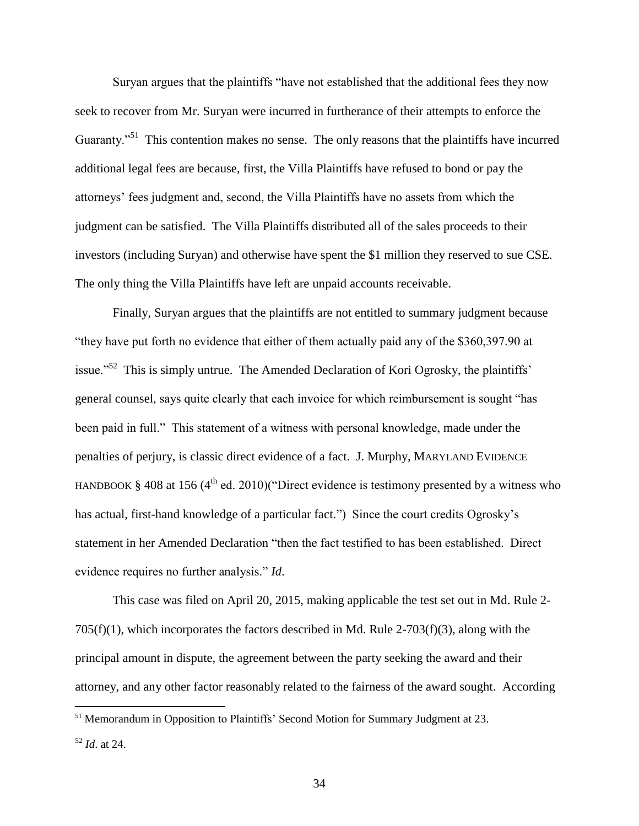Suryan argues that the plaintiffs "have not established that the additional fees they now seek to recover from Mr. Suryan were incurred in furtherance of their attempts to enforce the Guaranty."<sup>51</sup> This contention makes no sense. The only reasons that the plaintiffs have incurred additional legal fees are because, first, the Villa Plaintiffs have refused to bond or pay the attorneys' fees judgment and, second, the Villa Plaintiffs have no assets from which the judgment can be satisfied. The Villa Plaintiffs distributed all of the sales proceeds to their investors (including Suryan) and otherwise have spent the \$1 million they reserved to sue CSE. The only thing the Villa Plaintiffs have left are unpaid accounts receivable.

Finally, Suryan argues that the plaintiffs are not entitled to summary judgment because "they have put forth no evidence that either of them actually paid any of the \$360,397.90 at issue."<sup>52</sup> This is simply untrue. The Amended Declaration of Kori Ogrosky, the plaintiffs' general counsel, says quite clearly that each invoice for which reimbursement is sought "has been paid in full." This statement of a witness with personal knowledge, made under the penalties of perjury, is classic direct evidence of a fact. J. Murphy, MARYLAND EVIDENCE HANDBOOK § 408 at 156 ( $4<sup>th</sup>$  ed. 2010)("Direct evidence is testimony presented by a witness who has actual, first-hand knowledge of a particular fact.") Since the court credits Ogrosky's statement in her Amended Declaration "then the fact testified to has been established. Direct evidence requires no further analysis." *Id*.

This case was filed on April 20, 2015, making applicable the test set out in Md. Rule 2- 705(f)(1), which incorporates the factors described in Md. Rule 2-703(f)(3), along with the principal amount in dispute, the agreement between the party seeking the award and their attorney, and any other factor reasonably related to the fairness of the award sought. According

<sup>&</sup>lt;sup>51</sup> Memorandum in Opposition to Plaintiffs' Second Motion for Summary Judgment at 23.

<sup>52</sup> *Id*. at 24.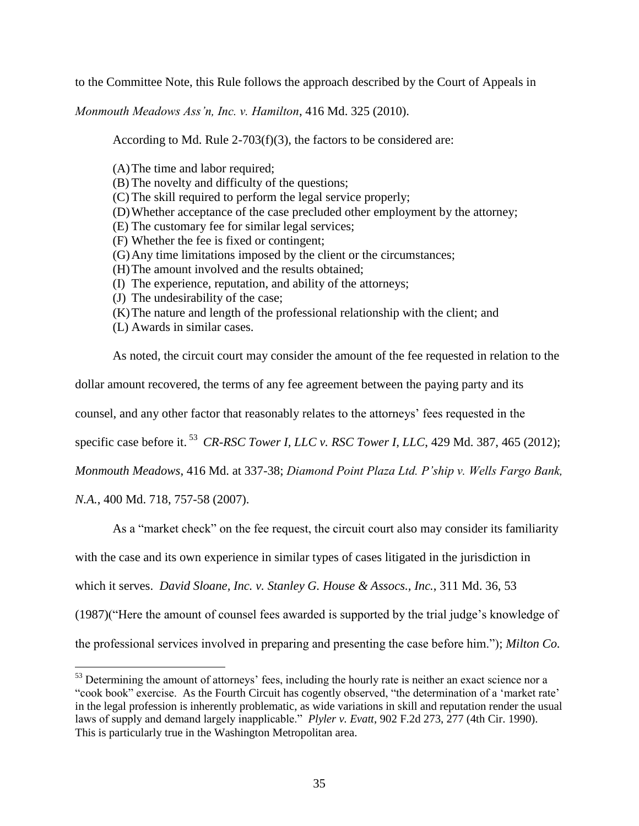to the Committee Note, this Rule follows the approach described by the Court of Appeals in

*Monmouth Meadows Ass'n, Inc. v. Hamilton*, 416 Md. 325 (2010).

According to Md. Rule 2-703(f)(3), the factors to be considered are:

(A)The time and labor required;

- (B) The novelty and difficulty of the questions;
- (C) The skill required to perform the legal service properly;
- (D)Whether acceptance of the case precluded other employment by the attorney;
- (E) The customary fee for similar legal services;
- (F) Whether the fee is fixed or contingent;
- (G)Any time limitations imposed by the client or the circumstances;
- (H)The amount involved and the results obtained;
- (I) The experience, reputation, and ability of the attorneys;
- (J) The undesirability of the case;
- (K)The nature and length of the professional relationship with the client; and
- (L) Awards in similar cases.

As noted, the circuit court may consider the amount of the fee requested in relation to the

dollar amount recovered, the terms of any fee agreement between the paying party and its

counsel, and any other factor that reasonably relates to the attorneys' fees requested in the

specific case before it. <sup>53</sup> *CR-RSC Tower I, LLC v. RSC Tower I, LLC*, 429 Md. 387, 465 (2012);

*Monmouth Meadows*, 416 Md. at 337-38; *Diamond Point Plaza Ltd. P'ship v. Wells Fargo Bank,* 

*N.A.*, 400 Md. 718, 757-58 (2007).

 $\overline{a}$ 

As a "market check" on the fee request, the circuit court also may consider its familiarity

with the case and its own experience in similar types of cases litigated in the jurisdiction in

which it serves. *David Sloane, Inc. v. Stanley G. House & Assocs., Inc.*, 311 Md. 36, 53

(1987)("Here the amount of counsel fees awarded is supported by the trial judge's knowledge of

the professional services involved in preparing and presenting the case before him."); *Milton Co.* 

<sup>&</sup>lt;sup>53</sup> Determining the amount of attorneys' fees, including the hourly rate is neither an exact science nor a "cook book" exercise. As the Fourth Circuit has cogently observed, "the determination of a 'market rate' in the legal profession is inherently problematic, as wide variations in skill and reputation render the usual laws of supply and demand largely inapplicable." *Plyler v. Evatt*, 902 F.2d 273, 277 (4th Cir. 1990). This is particularly true in the Washington Metropolitan area.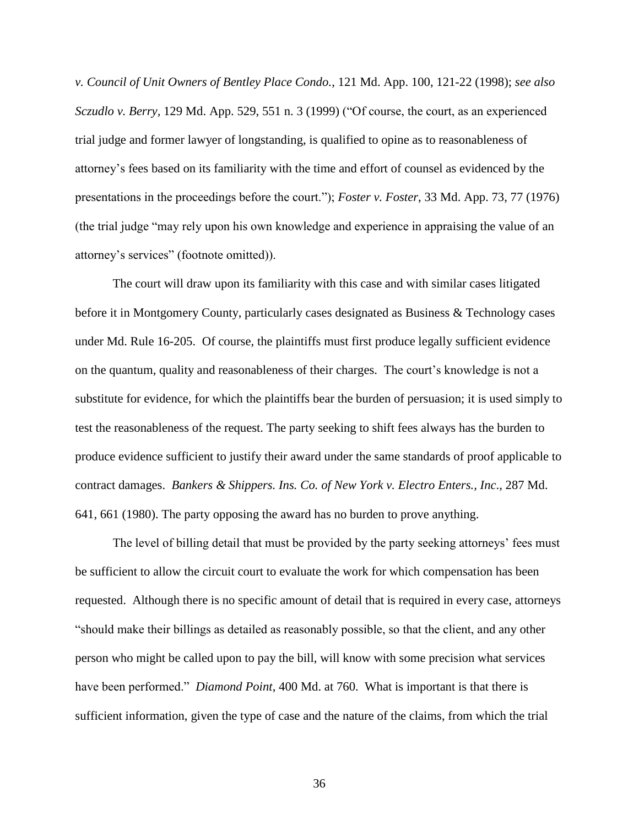*v. Council of Unit Owners of Bentley Place Condo.*, 121 Md. App. 100, 121-22 (1998); *see also Sczudlo v. Berry,* 129 Md. App. 529, 551 n. 3 (1999) ("Of course, the court, as an experienced trial judge and former lawyer of longstanding, is qualified to opine as to reasonableness of attorney's fees based on its familiarity with the time and effort of counsel as evidenced by the presentations in the proceedings before the court."); *Foster v. Foster*, 33 Md. App. 73, 77 (1976) (the trial judge "may rely upon his own knowledge and experience in appraising the value of an attorney's services" (footnote omitted)).

The court will draw upon its familiarity with this case and with similar cases litigated before it in Montgomery County, particularly cases designated as Business & Technology cases under Md. Rule 16-205. Of course, the plaintiffs must first produce legally sufficient evidence on the quantum, quality and reasonableness of their charges. The court's knowledge is not a substitute for evidence, for which the plaintiffs bear the burden of persuasion; it is used simply to test the reasonableness of the request. The party seeking to shift fees always has the burden to produce evidence sufficient to justify their award under the same standards of proof applicable to contract damages. *Bankers & Shippers. Ins. Co. of New York v. Electro Enters., Inc*., 287 Md. 641, 661 (1980). The party opposing the award has no burden to prove anything.

The level of billing detail that must be provided by the party seeking attorneys' fees must be sufficient to allow the circuit court to evaluate the work for which compensation has been requested. Although there is no specific amount of detail that is required in every case, attorneys "should make their billings as detailed as reasonably possible, so that the client, and any other person who might be called upon to pay the bill, will know with some precision what services have been performed." *Diamond Point*, 400 Md. at 760. What is important is that there is sufficient information, given the type of case and the nature of the claims, from which the trial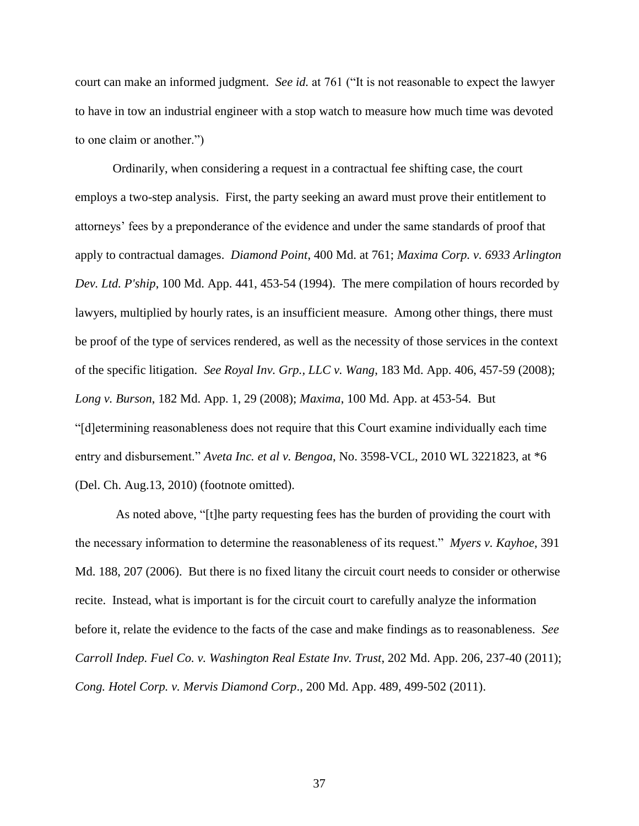court can make an informed judgment. *See id.* at 761 ("It is not reasonable to expect the lawyer to have in tow an industrial engineer with a stop watch to measure how much time was devoted to one claim or another.")

Ordinarily, when considering a request in a contractual fee shifting case, the court employs a two-step analysis. First, the party seeking an award must prove their entitlement to attorneys' fees by a preponderance of the evidence and under the same standards of proof that apply to contractual damages. *Diamond Point*, 400 Md. at 761; *Maxima Corp. v. 6933 Arlington Dev. Ltd. P'ship*, 100 Md. App. 441, 453-54 (1994). The mere compilation of hours recorded by lawyers, multiplied by hourly rates, is an insufficient measure. Among other things, there must be proof of the type of services rendered, as well as the necessity of those services in the context of the specific litigation. *See Royal Inv. Grp., LLC v. Wang*, 183 Md. App. 406, 457-59 (2008); *Long v. Burson*, 182 Md. App. 1, 29 (2008); *Maxima*, 100 Md. App. at 453-54. But "[d]etermining reasonableness does not require that this Court examine individually each time entry and disbursement." *Aveta Inc. et al v. Bengoa*, No. 3598-VCL, 2010 WL 3221823, at \*6 (Del. Ch. Aug.13, 2010) (footnote omitted).

As noted above, "[t]he party requesting fees has the burden of providing the court with the necessary information to determine the reasonableness of its request." *Myers v. Kayhoe*, 391 Md. 188, 207 (2006). But there is no fixed litany the circuit court needs to consider or otherwise recite. Instead, what is important is for the circuit court to carefully analyze the information before it, relate the evidence to the facts of the case and make findings as to reasonableness. *See Carroll Indep. Fuel Co. v. Washington Real Estate Inv. Trust*, 202 Md. App. 206, 237-40 (2011); *Cong. Hotel Corp. v. Mervis Diamond Corp*., 200 Md. App. 489, 499-502 (2011).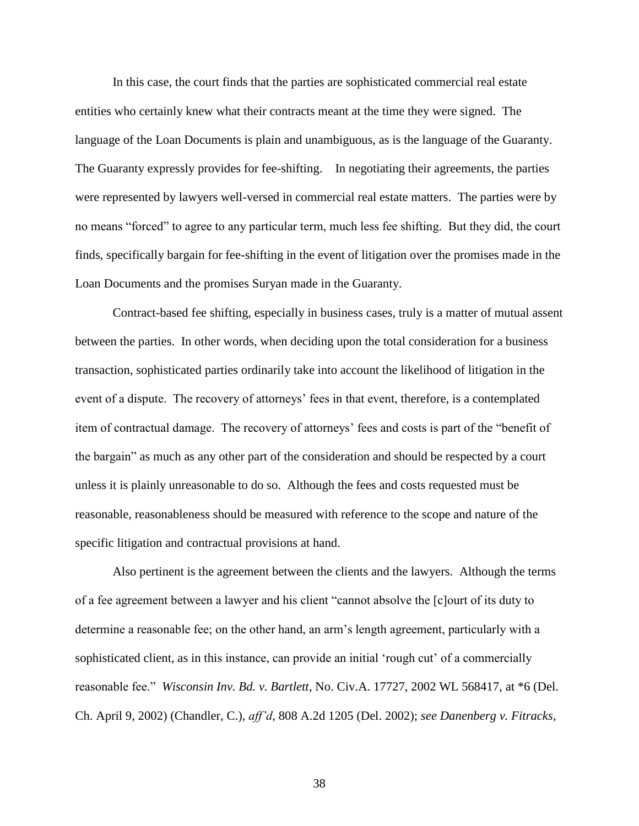In this case, the court finds that the parties are sophisticated commercial real estate entities who certainly knew what their contracts meant at the time they were signed. The language of the Loan Documents is plain and unambiguous, as is the language of the Guaranty. The Guaranty expressly provides for fee-shifting. In negotiating their agreements, the parties were represented by lawyers well-versed in commercial real estate matters. The parties were by no means "forced" to agree to any particular term, much less fee shifting. But they did, the court finds, specifically bargain for fee-shifting in the event of litigation over the promises made in the Loan Documents and the promises Suryan made in the Guaranty.

Contract-based fee shifting, especially in business cases, truly is a matter of mutual assent between the parties. In other words, when deciding upon the total consideration for a business transaction, sophisticated parties ordinarily take into account the likelihood of litigation in the event of a dispute. The recovery of attorneys' fees in that event, therefore, is a contemplated item of contractual damage. The recovery of attorneys' fees and costs is part of the "benefit of the bargain" as much as any other part of the consideration and should be respected by a court unless it is plainly unreasonable to do so. Although the fees and costs requested must be reasonable, reasonableness should be measured with reference to the scope and nature of the specific litigation and contractual provisions at hand.

Also pertinent is the agreement between the clients and the lawyers. Although the terms of a fee agreement between a lawyer and his client "cannot absolve the [c]ourt of its duty to determine a reasonable fee; on the other hand, an arm's length agreement, particularly with a sophisticated client, as in this instance, can provide an initial 'rough cut' of a commercially reasonable fee." *Wisconsin Inv. Bd. v. Bartlett*, No. Civ.A. 17727, 2002 WL 568417, at \*6 (Del. Ch. April 9, 2002) (Chandler, C.), *aff'd*, 808 A.2d 1205 (Del. 2002); *see Danenberg v. Fitracks,*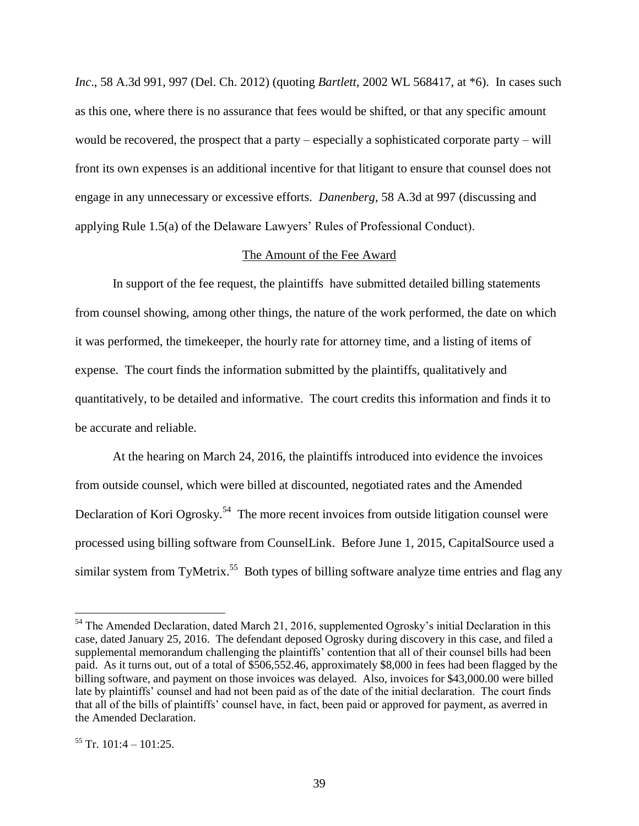*Inc.*, 58 A.3d 991, 997 (Del. Ch. 2012) (quoting *Bartlett*, 2002 WL 568417, at \*6). In cases such as this one, where there is no assurance that fees would be shifted, or that any specific amount would be recovered, the prospect that a party – especially a sophisticated corporate party – will front its own expenses is an additional incentive for that litigant to ensure that counsel does not engage in any unnecessary or excessive efforts. *Danenberg*, 58 A.3d at 997 (discussing and applying Rule 1.5(a) of the Delaware Lawyers' Rules of Professional Conduct).

## The Amount of the Fee Award

In support of the fee request, the plaintiffs have submitted detailed billing statements from counsel showing, among other things, the nature of the work performed, the date on which it was performed, the timekeeper, the hourly rate for attorney time, and a listing of items of expense. The court finds the information submitted by the plaintiffs, qualitatively and quantitatively, to be detailed and informative. The court credits this information and finds it to be accurate and reliable.

At the hearing on March 24, 2016, the plaintiffs introduced into evidence the invoices from outside counsel, which were billed at discounted, negotiated rates and the Amended Declaration of Kori Ogrosky.<sup>54</sup> The more recent invoices from outside litigation counsel were processed using billing software from CounselLink. Before June 1, 2015, CapitalSource used a similar system from TyMetrix.<sup>55</sup> Both types of billing software analyze time entries and flag any

<sup>&</sup>lt;sup>54</sup> The Amended Declaration, dated March 21, 2016, supplemented Ogrosky's initial Declaration in this case, dated January 25, 2016. The defendant deposed Ogrosky during discovery in this case, and filed a supplemental memorandum challenging the plaintiffs' contention that all of their counsel bills had been paid. As it turns out, out of a total of \$506,552.46, approximately \$8,000 in fees had been flagged by the billing software, and payment on those invoices was delayed. Also, invoices for \$43,000.00 were billed late by plaintiffs' counsel and had not been paid as of the date of the initial declaration. The court finds that all of the bills of plaintiffs' counsel have, in fact, been paid or approved for payment, as averred in the Amended Declaration.

 $55$  Tr. 101:4 – 101:25.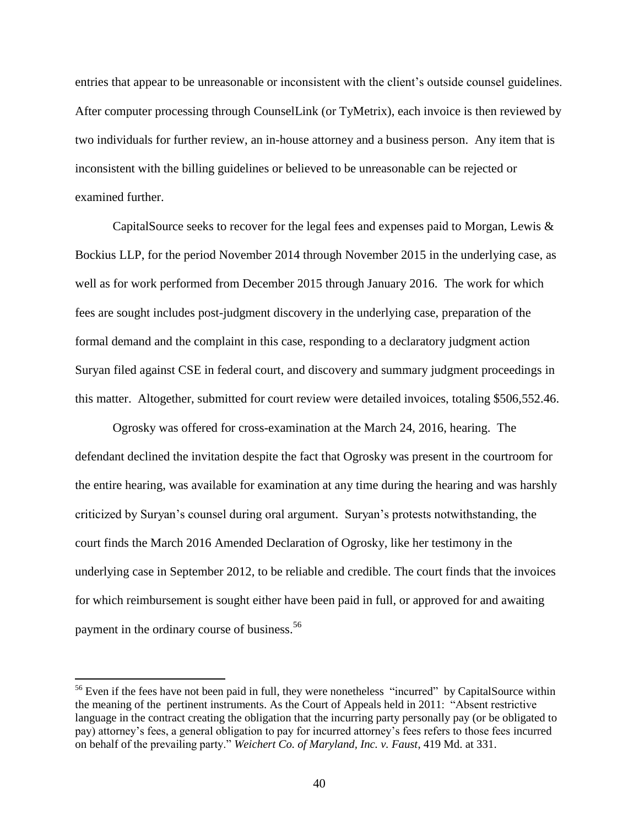entries that appear to be unreasonable or inconsistent with the client's outside counsel guidelines. After computer processing through CounselLink (or TyMetrix), each invoice is then reviewed by two individuals for further review, an in-house attorney and a business person. Any item that is inconsistent with the billing guidelines or believed to be unreasonable can be rejected or examined further.

CapitalSource seeks to recover for the legal fees and expenses paid to Morgan, Lewis & Bockius LLP, for the period November 2014 through November 2015 in the underlying case, as well as for work performed from December 2015 through January 2016. The work for which fees are sought includes post-judgment discovery in the underlying case, preparation of the formal demand and the complaint in this case, responding to a declaratory judgment action Suryan filed against CSE in federal court, and discovery and summary judgment proceedings in this matter. Altogether, submitted for court review were detailed invoices, totaling \$506,552.46.

Ogrosky was offered for cross-examination at the March 24, 2016, hearing. The defendant declined the invitation despite the fact that Ogrosky was present in the courtroom for the entire hearing, was available for examination at any time during the hearing and was harshly criticized by Suryan's counsel during oral argument. Suryan's protests notwithstanding, the court finds the March 2016 Amended Declaration of Ogrosky, like her testimony in the underlying case in September 2012, to be reliable and credible. The court finds that the invoices for which reimbursement is sought either have been paid in full, or approved for and awaiting payment in the ordinary course of business. 56

 $56$  Even if the fees have not been paid in full, they were nonetheless "incurred" by CapitalSource within the meaning of the pertinent instruments. As the Court of Appeals held in 2011: "Absent restrictive language in the contract creating the obligation that the incurring party personally pay (or be obligated to pay) attorney's fees, a general obligation to pay for incurred attorney's fees refers to those fees incurred on behalf of the prevailing party." *Weichert Co. of Maryland, Inc. v. Faust*, 419 Md. at 331.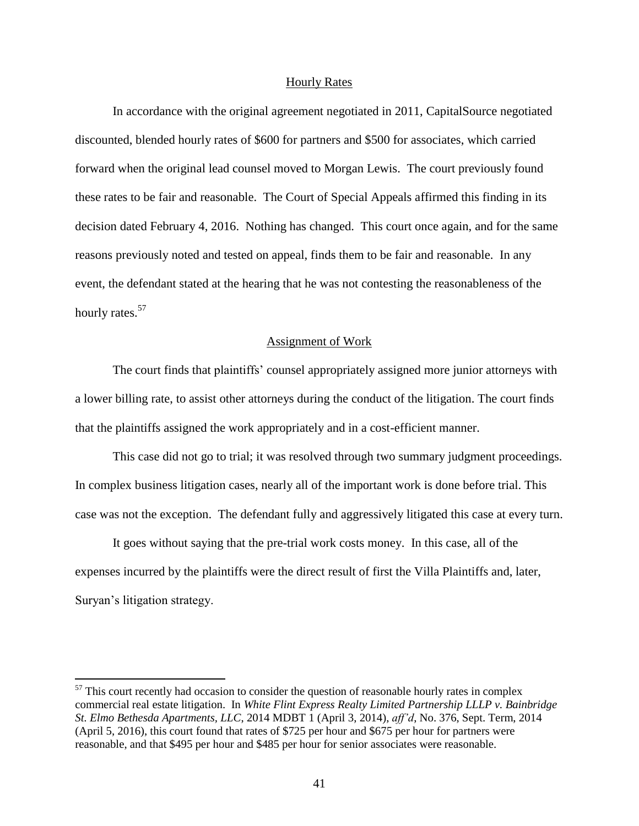## Hourly Rates

In accordance with the original agreement negotiated in 2011, CapitalSource negotiated discounted, blended hourly rates of \$600 for partners and \$500 for associates, which carried forward when the original lead counsel moved to Morgan Lewis. The court previously found these rates to be fair and reasonable. The Court of Special Appeals affirmed this finding in its decision dated February 4, 2016. Nothing has changed. This court once again, and for the same reasons previously noted and tested on appeal, finds them to be fair and reasonable. In any event, the defendant stated at the hearing that he was not contesting the reasonableness of the hourly rates.<sup>57</sup>

## Assignment of Work

The court finds that plaintiffs' counsel appropriately assigned more junior attorneys with a lower billing rate, to assist other attorneys during the conduct of the litigation. The court finds that the plaintiffs assigned the work appropriately and in a cost-efficient manner.

This case did not go to trial; it was resolved through two summary judgment proceedings. In complex business litigation cases, nearly all of the important work is done before trial. This case was not the exception. The defendant fully and aggressively litigated this case at every turn.

It goes without saying that the pre-trial work costs money. In this case, all of the expenses incurred by the plaintiffs were the direct result of first the Villa Plaintiffs and, later, Suryan's litigation strategy.

 $57$  This court recently had occasion to consider the question of reasonable hourly rates in complex commercial real estate litigation. In *White Flint Express Realty Limited Partnership LLLP v. Bainbridge St. Elmo Bethesda Apartments, LLC*, 2014 MDBT 1 (April 3, 2014), *aff'd*, No. 376, Sept. Term, 2014 (April 5, 2016), this court found that rates of \$725 per hour and \$675 per hour for partners were reasonable, and that \$495 per hour and \$485 per hour for senior associates were reasonable.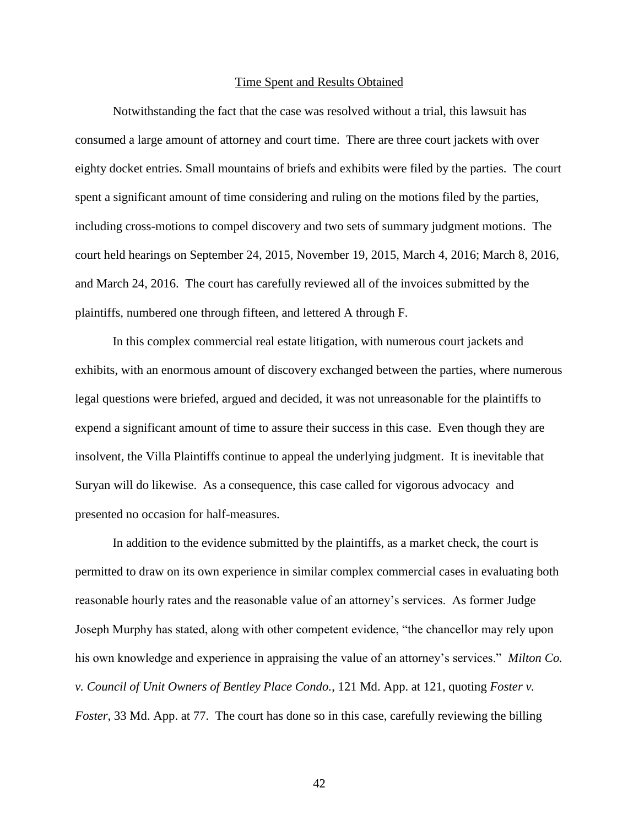#### Time Spent and Results Obtained

Notwithstanding the fact that the case was resolved without a trial, this lawsuit has consumed a large amount of attorney and court time. There are three court jackets with over eighty docket entries. Small mountains of briefs and exhibits were filed by the parties. The court spent a significant amount of time considering and ruling on the motions filed by the parties, including cross-motions to compel discovery and two sets of summary judgment motions. The court held hearings on September 24, 2015, November 19, 2015, March 4, 2016; March 8, 2016, and March 24, 2016. The court has carefully reviewed all of the invoices submitted by the plaintiffs, numbered one through fifteen, and lettered A through F.

In this complex commercial real estate litigation, with numerous court jackets and exhibits, with an enormous amount of discovery exchanged between the parties, where numerous legal questions were briefed, argued and decided, it was not unreasonable for the plaintiffs to expend a significant amount of time to assure their success in this case. Even though they are insolvent, the Villa Plaintiffs continue to appeal the underlying judgment. It is inevitable that Suryan will do likewise. As a consequence, this case called for vigorous advocacy and presented no occasion for half-measures.

In addition to the evidence submitted by the plaintiffs, as a market check, the court is permitted to draw on its own experience in similar complex commercial cases in evaluating both reasonable hourly rates and the reasonable value of an attorney's services. As former Judge Joseph Murphy has stated, along with other competent evidence, "the chancellor may rely upon his own knowledge and experience in appraising the value of an attorney's services." *Milton Co. v. Council of Unit Owners of Bentley Place Condo.*, 121 Md. App. at 121, quoting *Foster v. Foster*, 33 Md. App. at 77. The court has done so in this case, carefully reviewing the billing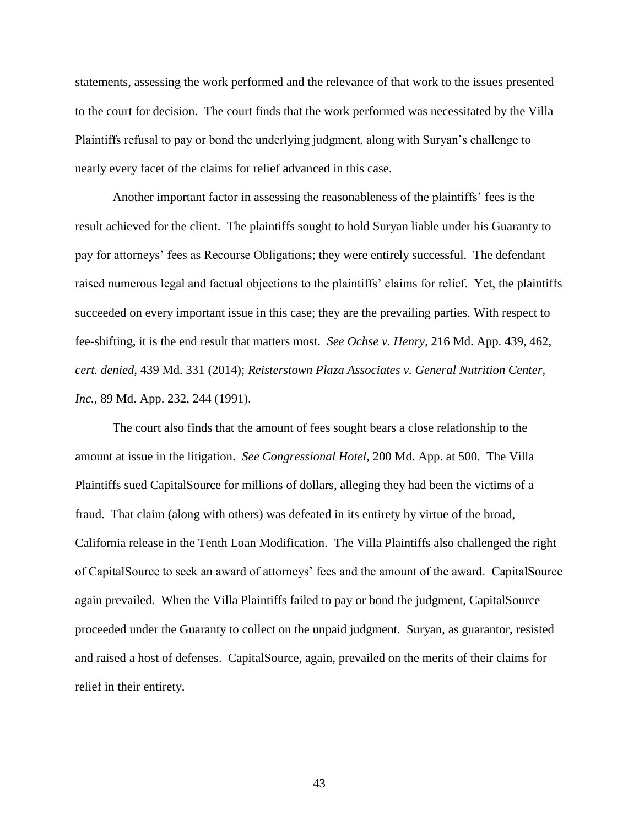statements, assessing the work performed and the relevance of that work to the issues presented to the court for decision. The court finds that the work performed was necessitated by the Villa Plaintiffs refusal to pay or bond the underlying judgment, along with Suryan's challenge to nearly every facet of the claims for relief advanced in this case.

Another important factor in assessing the reasonableness of the plaintiffs' fees is the result achieved for the client. The plaintiffs sought to hold Suryan liable under his Guaranty to pay for attorneys' fees as Recourse Obligations; they were entirely successful. The defendant raised numerous legal and factual objections to the plaintiffs' claims for relief. Yet, the plaintiffs succeeded on every important issue in this case; they are the prevailing parties. With respect to fee-shifting, it is the end result that matters most. *See Ochse v. Henry*, 216 Md. App. 439, 462, *cert. denied*, 439 Md. 331 (2014); *Reisterstown Plaza Associates v. General Nutrition Center, Inc.*, 89 Md. App. 232, 244 (1991).

The court also finds that the amount of fees sought bears a close relationship to the amount at issue in the litigation. *See Congressional Hotel*, 200 Md. App. at 500. The Villa Plaintiffs sued CapitalSource for millions of dollars, alleging they had been the victims of a fraud. That claim (along with others) was defeated in its entirety by virtue of the broad, California release in the Tenth Loan Modification. The Villa Plaintiffs also challenged the right of CapitalSource to seek an award of attorneys' fees and the amount of the award. CapitalSource again prevailed. When the Villa Plaintiffs failed to pay or bond the judgment, CapitalSource proceeded under the Guaranty to collect on the unpaid judgment. Suryan, as guarantor, resisted and raised a host of defenses. CapitalSource, again, prevailed on the merits of their claims for relief in their entirety.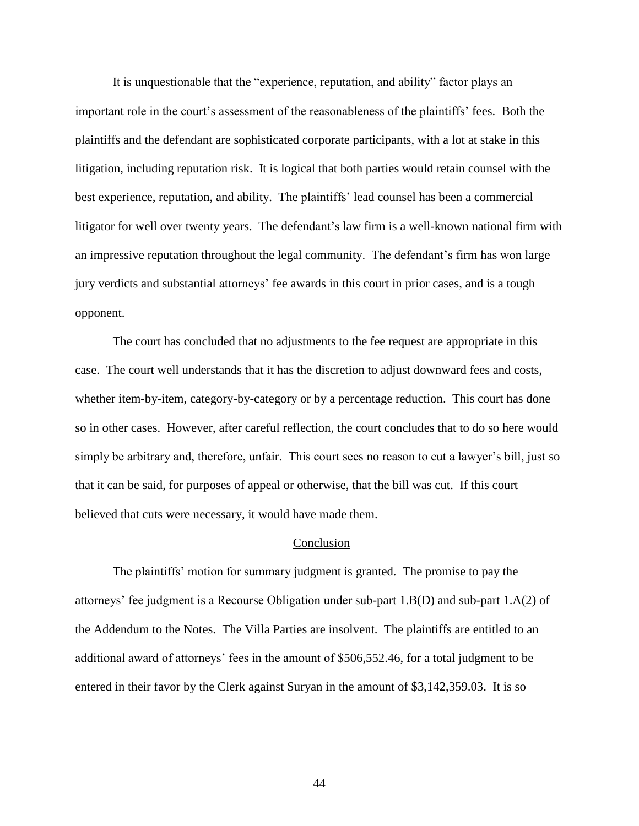It is unquestionable that the "experience, reputation, and ability" factor plays an important role in the court's assessment of the reasonableness of the plaintiffs' fees. Both the plaintiffs and the defendant are sophisticated corporate participants, with a lot at stake in this litigation, including reputation risk. It is logical that both parties would retain counsel with the best experience, reputation, and ability. The plaintiffs' lead counsel has been a commercial litigator for well over twenty years. The defendant's law firm is a well-known national firm with an impressive reputation throughout the legal community. The defendant's firm has won large jury verdicts and substantial attorneys' fee awards in this court in prior cases, and is a tough opponent.

The court has concluded that no adjustments to the fee request are appropriate in this case. The court well understands that it has the discretion to adjust downward fees and costs, whether item-by-item, category-by-category or by a percentage reduction. This court has done so in other cases. However, after careful reflection, the court concludes that to do so here would simply be arbitrary and, therefore, unfair. This court sees no reason to cut a lawyer's bill, just so that it can be said, for purposes of appeal or otherwise, that the bill was cut. If this court believed that cuts were necessary, it would have made them.

### Conclusion

The plaintiffs' motion for summary judgment is granted. The promise to pay the attorneys' fee judgment is a Recourse Obligation under sub-part 1.B(D) and sub-part 1.A(2) of the Addendum to the Notes. The Villa Parties are insolvent. The plaintiffs are entitled to an additional award of attorneys' fees in the amount of \$506,552.46, for a total judgment to be entered in their favor by the Clerk against Suryan in the amount of \$3,142,359.03. It is so